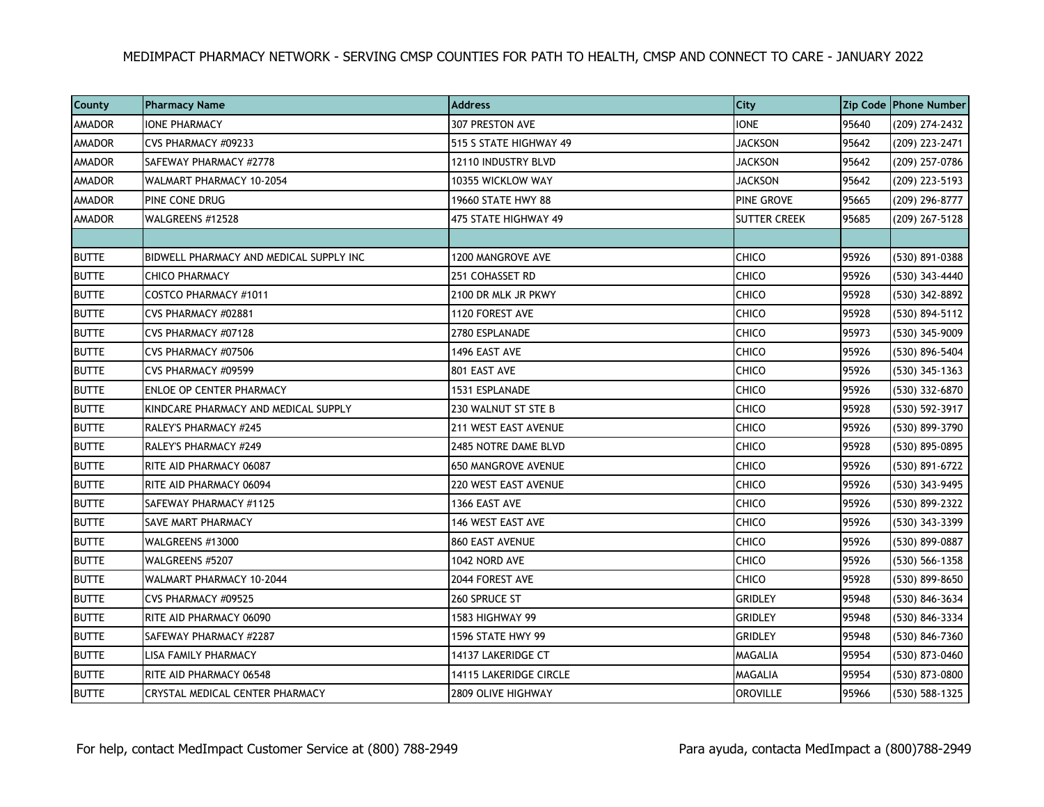| <b>County</b> | <b>Pharmacy Name</b>                    | <b>Address</b>             | City                |       | Zip Code   Phone Number |
|---------------|-----------------------------------------|----------------------------|---------------------|-------|-------------------------|
| <b>AMADOR</b> | <b>IONE PHARMACY</b>                    | 307 PRESTON AVE            | <b>IONE</b>         | 95640 | (209) 274-2432          |
| AMADOR        | CVS PHARMACY #09233                     | 515 S STATE HIGHWAY 49     | <b>JACKSON</b>      | 95642 | (209) 223-2471          |
| <b>AMADOR</b> | SAFEWAY PHARMACY #2778                  | 12110 INDUSTRY BLVD        | JACKSON             | 95642 | (209) 257-0786          |
| <b>AMADOR</b> | WALMART PHARMACY 10-2054                | 10355 WICKLOW WAY          | <b>JACKSON</b>      | 95642 | (209) 223-5193          |
| AMADOR        | PINE CONE DRUG                          | 19660 STATE HWY 88         | <b>PINE GROVE</b>   | 95665 | (209) 296-8777          |
| <b>AMADOR</b> | WALGREENS #12528                        | 475 STATE HIGHWAY 49       | <b>SUTTER CREEK</b> | 95685 | (209) 267-5128          |
|               |                                         |                            |                     |       |                         |
| <b>BUTTE</b>  | BIDWELL PHARMACY AND MEDICAL SUPPLY INC | 1200 MANGROVE AVE          | <b>CHICO</b>        | 95926 | (530) 891-0388          |
| <b>BUTTE</b>  | <b>CHICO PHARMACY</b>                   | 251 COHASSET RD            | <b>CHICO</b>        | 95926 | (530) 343-4440          |
| <b>BUTTE</b>  | COSTCO PHARMACY #1011                   | 2100 DR MLK JR PKWY        | CHICO               | 95928 | (530) 342-8892          |
| <b>BUTTE</b>  | CVS PHARMACY #02881                     | 1120 FOREST AVE            | CHICO               | 95928 | (530) 894-5112          |
| <b>BUTTE</b>  | CVS PHARMACY #07128                     | 2780 ESPLANADE             | <b>CHICO</b>        | 95973 | (530) 345-9009          |
| <b>BUTTE</b>  | CVS PHARMACY #07506                     | 1496 EAST AVE              | CHICO               | 95926 | (530) 896-5404          |
| <b>BUTTE</b>  | CVS PHARMACY #09599                     | 801 EAST AVE               | CHICO               | 95926 | (530) 345-1363          |
| <b>BUTTE</b>  | <b>ENLOE OP CENTER PHARMACY</b>         | 1531 ESPLANADE             | <b>CHICO</b>        | 95926 | (530) 332-6870          |
| <b>BUTTE</b>  | KINDCARE PHARMACY AND MEDICAL SUPPLY    | 230 WALNUT ST STE B        | CHICO               | 95928 | (530) 592-3917          |
| <b>BUTTE</b>  | RALEY'S PHARMACY #245                   | 211 WEST EAST AVENUE       | CHICO               | 95926 | (530) 899-3790          |
| <b>BUTTE</b>  | RALEY'S PHARMACY #249                   | 2485 NOTRE DAME BLVD       | CHICO               | 95928 | (530) 895-0895          |
| <b>BUTTE</b>  | RITE AID PHARMACY 06087                 | <b>650 MANGROVE AVENUE</b> | CHICO               | 95926 | (530) 891-6722          |
| <b>BUTTE</b>  | RITE AID PHARMACY 06094                 | 220 WEST EAST AVENUE       | CHICO               | 95926 | (530) 343-9495          |
| <b>BUTTE</b>  | SAFEWAY PHARMACY #1125                  | 1366 EAST AVE              | <b>CHICO</b>        | 95926 | (530) 899-2322          |
| <b>BUTTE</b>  | <b>SAVE MART PHARMACY</b>               | 146 WEST EAST AVE          | CHICO               | 95926 | (530) 343-3399          |
| <b>BUTTE</b>  | WALGREENS #13000                        | <b>860 EAST AVENUE</b>     | CHICO               | 95926 | (530) 899-0887          |
| <b>BUTTE</b>  | WALGREENS #5207                         | 1042 NORD AVE              | <b>CHICO</b>        | 95926 | (530) 566-1358          |
| <b>BUTTE</b>  | WALMART PHARMACY 10-2044                | 2044 FOREST AVE            | CHICO               | 95928 | (530) 899-8650          |
| <b>BUTTE</b>  | CVS PHARMACY #09525                     | 260 SPRUCE ST              | <b>GRIDLEY</b>      | 95948 | (530) 846-3634          |
| <b>BUTTE</b>  | RITE AID PHARMACY 06090                 | 1583 HIGHWAY 99            | <b>GRIDLEY</b>      | 95948 | (530) 846-3334          |
| <b>BUTTE</b>  | SAFEWAY PHARMACY #2287                  | 1596 STATE HWY 99          | <b>GRIDLEY</b>      | 95948 | (530) 846-7360          |
| <b>BUTTE</b>  | LISA FAMILY PHARMACY                    | 14137 LAKERIDGE CT         | <b>MAGALIA</b>      | 95954 | (530) 873-0460          |
| <b>BUTTE</b>  | RITE AID PHARMACY 06548                 | 14115 LAKERIDGE CIRCLE     | MAGALIA             | 95954 | (530) 873-0800          |
| <b>BUTTE</b>  | CRYSTAL MEDICAL CENTER PHARMACY         | <b>2809 OLIVE HIGHWAY</b>  | <b>OROVILLE</b>     | 95966 | (530) 588-1325          |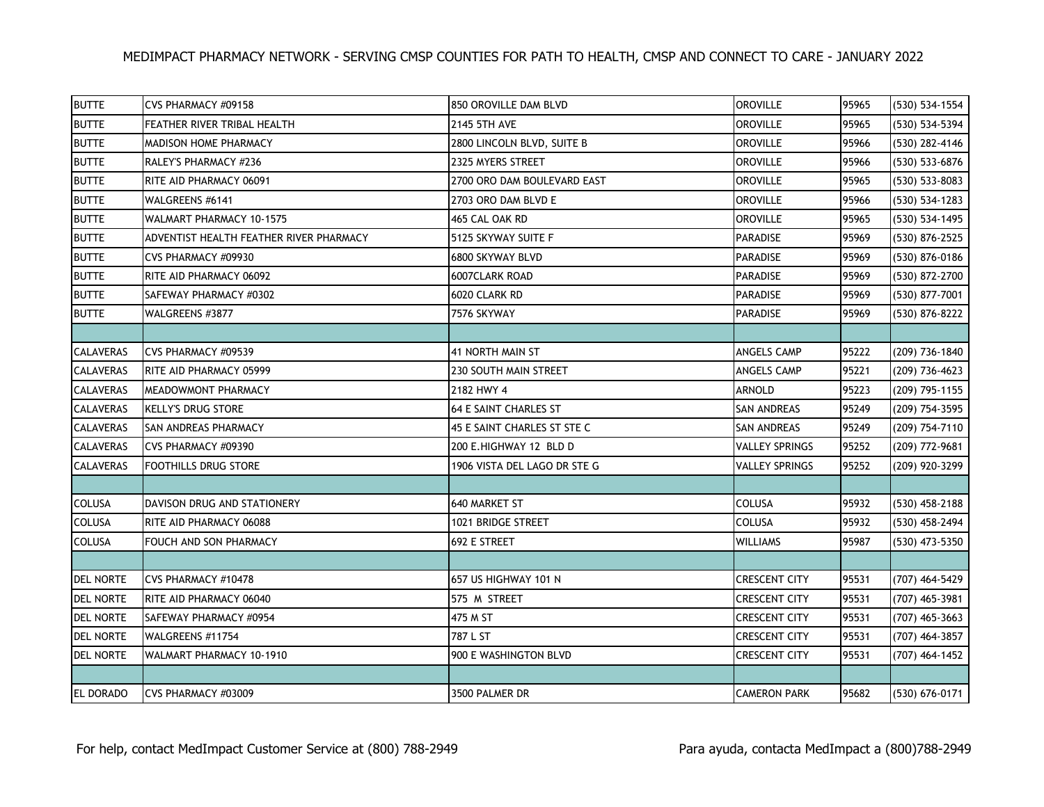| <b>BUTTE</b>     | CVS PHARMACY #09158                     | 850 OROVILLE DAM BLVD        | <b>OROVILLE</b>       | 95965 | (530) 534-1554   |
|------------------|-----------------------------------------|------------------------------|-----------------------|-------|------------------|
| <b>BUTTE</b>     | FEATHER RIVER TRIBAL HEALTH             | 2145 5TH AVE                 | <b>OROVILLE</b>       | 95965 | (530) 534-5394   |
| <b>BUTTE</b>     | MADISON HOME PHARMACY                   | 2800 LINCOLN BLVD, SUITE B   | <b>OROVILLE</b>       | 95966 | (530) 282-4146   |
| <b>BUTTE</b>     | RALEY'S PHARMACY #236                   | 2325 MYERS STREET            | <b>OROVILLE</b>       | 95966 | (530) 533-6876   |
| <b>BUTTE</b>     | RITE AID PHARMACY 06091                 | 2700 ORO DAM BOULEVARD EAST  | <b>OROVILLE</b>       | 95965 | (530) 533-8083   |
| <b>BUTTE</b>     | WALGREENS #6141                         | 2703 ORO DAM BLVD E          | <b>OROVILLE</b>       | 95966 | (530) 534-1283   |
| <b>BUTTE</b>     | WALMART PHARMACY 10-1575                | 465 CAL OAK RD               | <b>OROVILLE</b>       | 95965 | (530) 534-1495   |
| <b>BUTTE</b>     | ADVENTIST HEALTH FEATHER RIVER PHARMACY | 5125 SKYWAY SUITE F          | <b>PARADISE</b>       | 95969 | (530) 876-2525   |
| <b>BUTTE</b>     | CVS PHARMACY #09930                     | 6800 SKYWAY BLVD             | <b>PARADISE</b>       | 95969 | (530) 876-0186   |
| <b>BUTTE</b>     | RITE AID PHARMACY 06092                 | <b>6007CLARK ROAD</b>        | <b>PARADISE</b>       | 95969 | (530) 872-2700   |
| <b>BUTTE</b>     | SAFEWAY PHARMACY #0302                  | 6020 CLARK RD                | <b>PARADISE</b>       | 95969 | (530) 877-7001   |
| <b>BUTTE</b>     | WALGREENS #3877                         | 7576 SKYWAY                  | <b>PARADISE</b>       | 95969 | (530) 876-8222   |
|                  |                                         |                              |                       |       |                  |
| <b>CALAVERAS</b> | CVS PHARMACY #09539                     | 41 NORTH MAIN ST             | ANGELS CAMP           | 95222 | (209) 736-1840   |
| <b>CALAVERAS</b> | RITE AID PHARMACY 05999                 | <b>230 SOUTH MAIN STREET</b> | ANGELS CAMP           | 95221 | (209) 736-4623   |
| <b>CALAVERAS</b> | MEADOWMONT PHARMACY                     | 2182 HWY 4                   | ARNOLD                | 95223 | (209) 795-1155   |
| <b>CALAVERAS</b> | <b>KELLY'S DRUG STORE</b>               | <b>64 E SAINT CHARLES ST</b> | <b>SAN ANDREAS</b>    | 95249 | (209) 754-3595   |
| <b>CALAVERAS</b> | <b>SAN ANDREAS PHARMACY</b>             | 45 E SAINT CHARLES ST STE C  | <b>SAN ANDREAS</b>    | 95249 | (209) 754-7110   |
| <b>CALAVERAS</b> | CVS PHARMACY #09390                     | 200 E.HIGHWAY 12 BLD D       | <b>VALLEY SPRINGS</b> | 95252 | (209) 772-9681   |
| <b>CALAVERAS</b> | FOOTHILLS DRUG STORE                    | 1906 VISTA DEL LAGO DR STE G | <b>VALLEY SPRINGS</b> | 95252 | (209) 920-3299   |
|                  |                                         |                              |                       |       |                  |
| <b>COLUSA</b>    | DAVISON DRUG AND STATIONERY             | 640 MARKET ST                | COLUSA                | 95932 | (530) 458-2188   |
| <b>COLUSA</b>    | RITE AID PHARMACY 06088                 | 1021 BRIDGE STREET           | COLUSA                | 95932 | (530) 458-2494   |
| <b>COLUSA</b>    | FOUCH AND SON PHARMACY                  | 692 E STREET                 | <b>WILLIAMS</b>       | 95987 | (530) 473-5350   |
|                  |                                         |                              |                       |       |                  |
| <b>DEL NORTE</b> | CVS PHARMACY #10478                     | 657 US HIGHWAY 101 N         | <b>CRESCENT CITY</b>  | 95531 | (707) 464-5429   |
| <b>DEL NORTE</b> | RITE AID PHARMACY 06040                 | 575 M STREET                 | CRESCENT CITY         | 95531 | (707) 465-3981   |
| <b>DEL NORTE</b> | SAFEWAY PHARMACY #0954                  | 475 M ST                     | <b>CRESCENT CITY</b>  | 95531 | $(707)$ 465-3663 |
| <b>DEL NORTE</b> | WALGREENS #11754                        | 787 L ST                     | <b>CRESCENT CITY</b>  | 95531 | (707) 464-3857   |
| DEL NORTE        | WALMART PHARMACY 10-1910                | 900 E WASHINGTON BLVD        | CRESCENT CITY         | 95531 | (707) 464-1452   |
|                  |                                         |                              |                       |       |                  |
| <b>EL DORADO</b> | ICVS PHARMACY #03009                    | 3500 PALMER DR               | <b>CAMERON PARK</b>   | 95682 | (530) 676-0171   |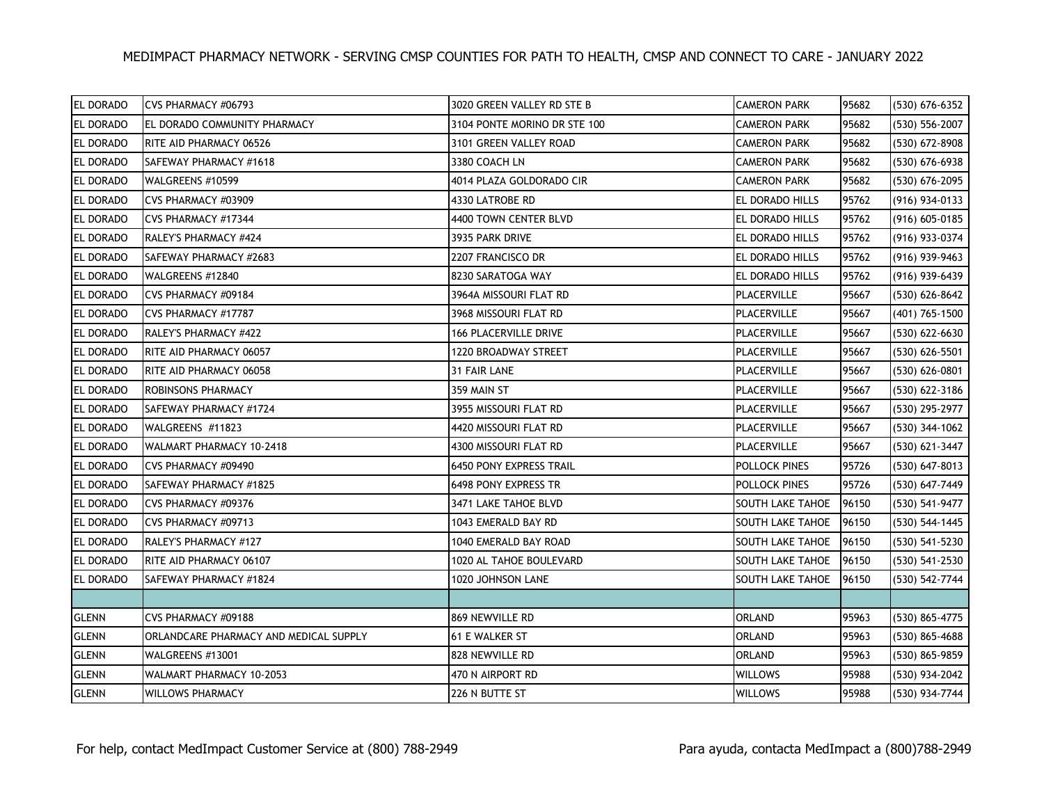| <b>EL DORADO</b> | ICVS PHARMACY #06793                   | 3020 GREEN VALLEY RD STE B     | <b>CAMERON PARK</b> | 95682 | (530) 676-6352     |
|------------------|----------------------------------------|--------------------------------|---------------------|-------|--------------------|
| <b>EL DORADO</b> | EL DORADO COMMUNITY PHARMACY           | 3104 PONTE MORINO DR STE 100   | <b>CAMERON PARK</b> | 95682 | (530) 556-2007     |
| <b>EL DORADO</b> | RITE AID PHARMACY 06526                | 3101 GREEN VALLEY ROAD         | <b>CAMERON PARK</b> | 95682 | (530) 672-8908     |
| <b>EL DORADO</b> | SAFEWAY PHARMACY #1618                 | 3380 COACH LN                  | <b>CAMERON PARK</b> | 95682 | (530) 676-6938     |
| <b>EL DORADO</b> | WALGREENS #10599                       | 4014 PLAZA GOLDORADO CIR       | <b>CAMERON PARK</b> | 95682 | (530) 676-2095     |
| <b>EL DORADO</b> | CVS PHARMACY #03909                    | 4330 LATROBE RD                | EL DORADO HILLS     | 95762 | (916) 934-0133     |
| <b>EL DORADO</b> | CVS PHARMACY #17344                    | 4400 TOWN CENTER BLVD          | EL DORADO HILLS     | 95762 | (916) 605-0185     |
| <b>EL DORADO</b> | RALEY'S PHARMACY #424                  | 3935 PARK DRIVE                | EL DORADO HILLS     | 95762 | (916) 933-0374     |
| <b>EL DORADO</b> | SAFEWAY PHARMACY #2683                 | 2207 FRANCISCO DR              | EL DORADO HILLS     | 95762 | (916) 939-9463     |
| <b>EL DORADO</b> | WALGREENS #12840                       | 8230 SARATOGA WAY              | EL DORADO HILLS     | 95762 | (916) 939-6439     |
| <b>EL DORADO</b> | CVS PHARMACY #09184                    | 3964A MISSOURI FLAT RD         | PLACERVILLE         | 95667 | (530) 626-8642     |
| <b>EL DORADO</b> | CVS PHARMACY #17787                    | 3968 MISSOURI FLAT RD          | PLACERVILLE         | 95667 | (401) 765-1500     |
| <b>EL DORADO</b> | RALEY'S PHARMACY #422                  | 166 PLACERVILLE DRIVE          | PLACERVILLE         | 95667 | $(530) 622 - 6630$ |
| <b>EL DORADO</b> | RITE AID PHARMACY 06057                | 1220 BROADWAY STREET           | PLACERVILLE         | 95667 | (530) 626-5501     |
| <b>EL DORADO</b> | RITE AID PHARMACY 06058                | 31 FAIR LANE                   | PLACERVILLE         | 95667 | (530) 626-0801     |
| <b>EL DORADO</b> | <b>ROBINSONS PHARMACY</b>              | 359 MAIN ST                    | PLACERVILLE         | 95667 | (530) 622-3186     |
| <b>EL DORADO</b> | SAFEWAY PHARMACY #1724                 | 3955 MISSOURI FLAT RD          | PLACERVILLE         | 95667 | (530) 295-2977     |
| <b>EL DORADO</b> | WALGREENS #11823                       | 4420 MISSOURI FLAT RD          | PLACERVILLE         | 95667 | (530) 344-1062     |
| <b>EL DORADO</b> | WALMART PHARMACY 10-2418               | 4300 MISSOURI FLAT RD          | PLACERVILLE         | 95667 | (530) 621-3447     |
| <b>EL DORADO</b> | CVS PHARMACY #09490                    | <b>6450 PONY EXPRESS TRAIL</b> | POLLOCK PINES       | 95726 | $(530)$ 647-8013   |
| <b>EL DORADO</b> | SAFEWAY PHARMACY #1825                 | 6498 PONY EXPRESS TR           | POLLOCK PINES       | 95726 | (530) 647-7449     |
| <b>EL DORADO</b> | CVS PHARMACY #09376                    | 3471 LAKE TAHOE BLVD           | SOUTH LAKE TAHOE    | 96150 | (530) 541-9477     |
| <b>EL DORADO</b> | CVS PHARMACY #09713                    | 1043 EMERALD BAY RD            | SOUTH LAKE TAHOE    | 96150 | (530) 544-1445     |
| <b>EL DORADO</b> | RALEY'S PHARMACY #127                  | 1040 EMERALD BAY ROAD          | SOUTH LAKE TAHOE    | 96150 | (530) 541-5230     |
| <b>EL DORADO</b> | RITE AID PHARMACY 06107                | 1020 AL TAHOE BOULEVARD        | SOUTH LAKE TAHOE    | 96150 | (530) 541-2530     |
| <b>EL DORADO</b> | SAFEWAY PHARMACY #1824                 | 1020 JOHNSON LANE              | SOUTH LAKE TAHOE    | 96150 | (530) 542-7744     |
|                  |                                        |                                |                     |       |                    |
| <b>GLENN</b>     | CVS PHARMACY #09188                    | 869 NEWVILLE RD                | ORLAND              | 95963 | (530) 865-4775     |
| GLENN            | ORLANDCARE PHARMACY AND MEDICAL SUPPLY | <b>61 E WALKER ST</b>          | ORLAND              | 95963 | $(530)$ 865-4688   |
| GLENN            | WALGREENS #13001                       | 828 NEWVILLE RD                | ORLAND              | 95963 | (530) 865-9859     |
| <b>GLENN</b>     | WALMART PHARMACY 10-2053               | 470 N AIRPORT RD               | <b>WILLOWS</b>      | 95988 | (530) 934-2042     |
| GLENN            | <b>WILLOWS PHARMACY</b>                | 226 N BUTTE ST                 | <b>WILLOWS</b>      | 95988 | (530) 934-7744     |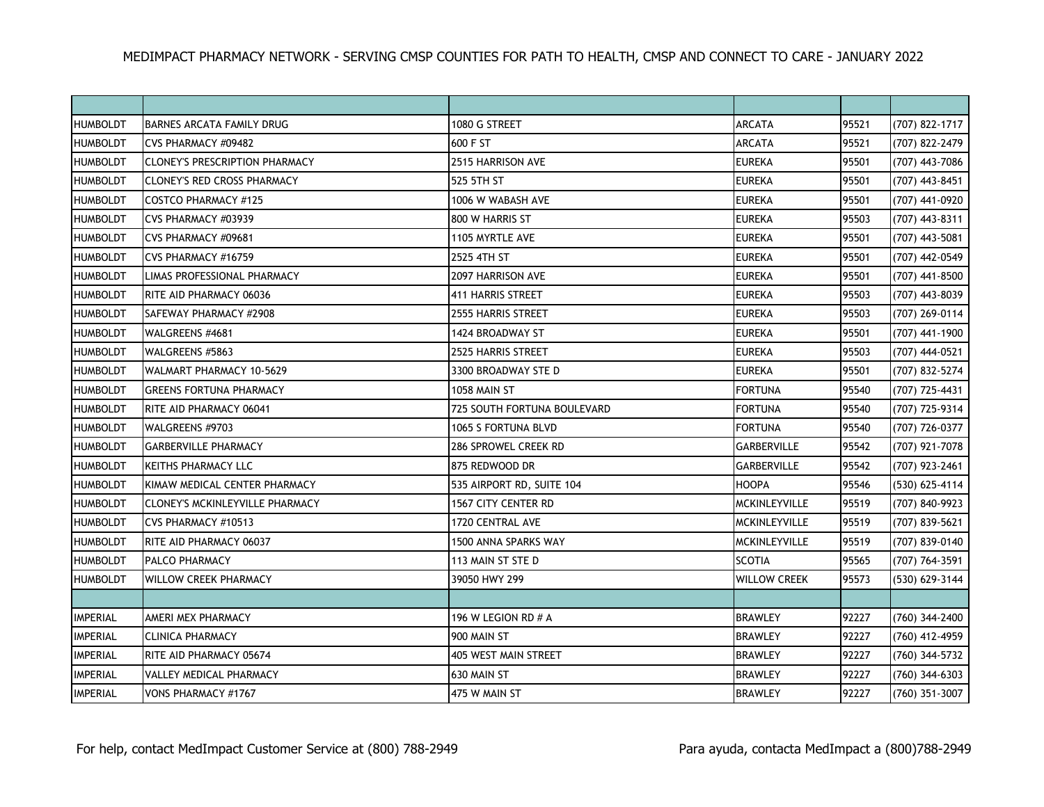| <b>HUMBOLDT</b> | BARNES ARCATA FAMILY DRUG              | 1080 G STREET               | <b>ARCATA</b>        | 95521 | (707) 822-1717 |
|-----------------|----------------------------------------|-----------------------------|----------------------|-------|----------------|
| <b>HUMBOLDT</b> | CVS PHARMACY #09482                    | 600 F ST                    | <b>ARCATA</b>        | 95521 | (707) 822-2479 |
| <b>HUMBOLDT</b> | <b>CLONEY'S PRESCRIPTION PHARMACY</b>  | 2515 HARRISON AVE           | <b>EUREKA</b>        | 95501 | (707) 443-7086 |
| <b>HUMBOLDT</b> | <b>CLONEY'S RED CROSS PHARMACY</b>     | 525 5TH ST                  | <b>EUREKA</b>        | 95501 | (707) 443-8451 |
| <b>HUMBOLDT</b> | <b>COSTCO PHARMACY #125</b>            | 1006 W WABASH AVE           | <b>EUREKA</b>        | 95501 | (707) 441-0920 |
| <b>HUMBOLDT</b> | CVS PHARMACY #03939                    | 800 W HARRIS ST             | <b>EUREKA</b>        | 95503 | (707) 443-8311 |
| <b>HUMBOLDT</b> | CVS PHARMACY #09681                    | 1105 MYRTLE AVE             | <b>EUREKA</b>        | 95501 | (707) 443-5081 |
| <b>HUMBOLDT</b> | CVS PHARMACY #16759                    | 2525 4TH ST                 | <b>EUREKA</b>        | 95501 | (707) 442-0549 |
| <b>HUMBOLDT</b> | LIMAS PROFESSIONAL PHARMACY            | 2097 HARRISON AVE           | <b>EUREKA</b>        | 95501 | (707) 441-8500 |
| <b>HUMBOLDT</b> | <b>RITE AID PHARMACY 06036</b>         | <b>411 HARRIS STREET</b>    | <b>EUREKA</b>        | 95503 | (707) 443-8039 |
| <b>HUMBOLDT</b> | SAFEWAY PHARMACY #2908                 | <b>2555 HARRIS STREET</b>   | <b>EUREKA</b>        | 95503 | (707) 269-0114 |
| <b>HUMBOLDT</b> | WALGREENS #4681                        | 1424 BROADWAY ST            | <b>EUREKA</b>        | 95501 | (707) 441-1900 |
| <b>HUMBOLDT</b> | WALGREENS #5863                        | 2525 HARRIS STREET          | <b>EUREKA</b>        | 95503 | (707) 444-0521 |
| <b>HUMBOLDT</b> | WALMART PHARMACY 10-5629               | 3300 BROADWAY STE D         | <b>EUREKA</b>        | 95501 | (707) 832-5274 |
| <b>HUMBOLDT</b> | <b>GREENS FORTUNA PHARMACY</b>         | 1058 MAIN ST                | <b>FORTUNA</b>       | 95540 | (707) 725-4431 |
| <b>HUMBOLDT</b> | RITE AID PHARMACY 06041                | 725 SOUTH FORTUNA BOULEVARD | <b>FORTUNA</b>       | 95540 | (707) 725-9314 |
| <b>HUMBOLDT</b> | WALGREENS #9703                        | 1065 S FORTUNA BLVD         | <b>FORTUNA</b>       | 95540 | (707) 726-0377 |
| <b>HUMBOLDT</b> | <b>GARBERVILLE PHARMACY</b>            | 286 SPROWEL CREEK RD        | <b>GARBERVILLE</b>   | 95542 | (707) 921-7078 |
| <b>HUMBOLDT</b> | <b>KEITHS PHARMACY LLC</b>             | 875 REDWOOD DR              | <b>GARBERVILLE</b>   | 95542 | (707) 923-2461 |
| <b>HUMBOLDT</b> | KIMAW MEDICAL CENTER PHARMACY          | 535 AIRPORT RD, SUITE 104   | <b>HOOPA</b>         | 95546 | (530) 625-4114 |
| <b>HUMBOLDT</b> | <b>CLONEY'S MCKINLEYVILLE PHARMACY</b> | <b>1567 CITY CENTER RD</b>  | <b>MCKINLEYVILLE</b> | 95519 | (707) 840-9923 |
| <b>HUMBOLDT</b> | <b>CVS PHARMACY #10513</b>             | 1720 CENTRAL AVE            | <b>MCKINLEYVILLE</b> | 95519 | (707) 839-5621 |
| <b>HUMBOLDT</b> | <b>RITE AID PHARMACY 06037</b>         | 1500 ANNA SPARKS WAY        | <b>MCKINLEYVILLE</b> | 95519 | (707) 839-0140 |
| <b>HUMBOLDT</b> | PALCO PHARMACY                         | 113 MAIN ST STE D           | <b>SCOTIA</b>        | 95565 | (707) 764-3591 |
| <b>HUMBOLDT</b> | <b>WILLOW CREEK PHARMACY</b>           | 39050 HWY 299               | <b>WILLOW CREEK</b>  | 95573 | (530) 629-3144 |
|                 |                                        |                             |                      |       |                |
| <b>IMPERIAL</b> | AMERI MEX PHARMACY                     | 196 W LEGION RD # A         | <b>BRAWLEY</b>       | 92227 | (760) 344-2400 |
| <b>IMPERIAL</b> | <b>CLINICA PHARMACY</b>                | 900 MAIN ST                 | <b>BRAWLEY</b>       | 92227 | (760) 412-4959 |
| <b>IMPERIAL</b> | RITE AID PHARMACY 05674                | <b>405 WEST MAIN STREET</b> | <b>BRAWLEY</b>       | 92227 | (760) 344-5732 |
| <b>IMPERIAL</b> | VALLEY MEDICAL PHARMACY                | 630 MAIN ST                 | <b>BRAWLEY</b>       | 92227 | (760) 344-6303 |
| <b>IMPERIAL</b> | VONS PHARMACY #1767                    | 475 W MAIN ST               | <b>BRAWLEY</b>       | 92227 | (760) 351-3007 |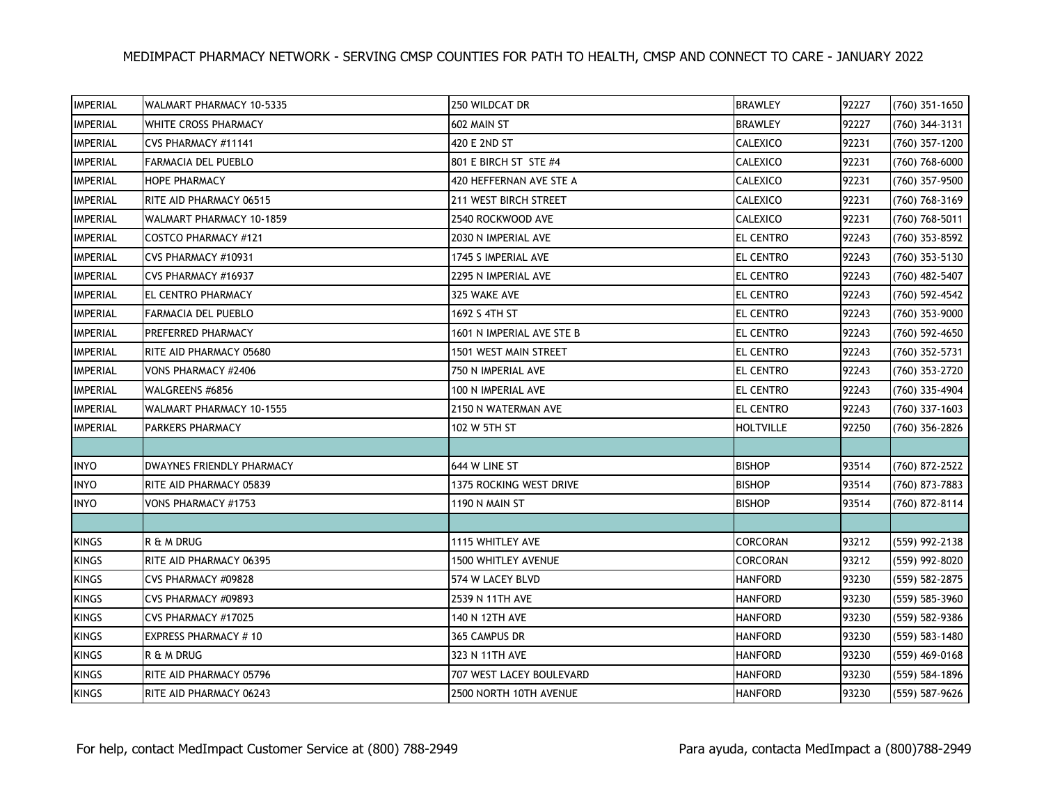| <b>IMPERIAL</b> | WALMART PHARMACY 10-5335    | 250 WILDCAT DR            | <b>BRAWLEY</b>   | 92227 | $(760)$ 351-1650 |
|-----------------|-----------------------------|---------------------------|------------------|-------|------------------|
| <b>IMPERIAL</b> | WHITE CROSS PHARMACY        | 602 MAIN ST               | <b>BRAWLEY</b>   | 92227 | (760) 344-3131   |
| <b>IMPERIAL</b> | <b>CVS PHARMACY #11141</b>  | 420 E 2ND ST              | <b>CALEXICO</b>  | 92231 | (760) 357-1200   |
| <b>IMPERIAL</b> | FARMACIA DEL PUEBLO         | 801 E BIRCH ST STE #4     | CALEXICO         | 92231 | (760) 768-6000   |
| <b>IMPERIAL</b> | <b>HOPE PHARMACY</b>        | 420 HEFFERNAN AVE STE A   | CALEXICO         | 92231 | (760) 357-9500   |
| <b>IMPERIAL</b> | RITE AID PHARMACY 06515     | 211 WEST BIRCH STREET     | CALEXICO         | 92231 | (760) 768-3169   |
| <b>IMPERIAL</b> | WALMART PHARMACY 10-1859    | 2540 ROCKWOOD AVE         | CALEXICO         | 92231 | (760) 768-5011   |
| <b>IMPERIAL</b> | <b>COSTCO PHARMACY #121</b> | 2030 N IMPERIAL AVE       | <b>EL CENTRO</b> | 92243 | (760) 353-8592   |
| <b>IMPERIAL</b> | CVS PHARMACY #10931         | 1745 S IMPERIAL AVE       | EL CENTRO        | 92243 | $(760)$ 353-5130 |
| <b>IMPERIAL</b> | CVS PHARMACY #16937         | 2295 N IMPERIAL AVE       | EL CENTRO        | 92243 | (760) 482-5407   |
| <b>IMPERIAL</b> | <b>EL CENTRO PHARMACY</b>   | 325 WAKE AVE              | EL CENTRO        | 92243 | (760) 592-4542   |
| <b>IMPERIAL</b> | <b>FARMACIA DEL PUEBLO</b>  | 1692 S 4TH ST             | <b>EL CENTRO</b> | 92243 | (760) 353-9000   |
| <b>IMPERIAL</b> | PREFERRED PHARMACY          | 1601 N IMPERIAL AVE STE B | EL CENTRO        | 92243 | (760) 592-4650   |
| <b>IMPERIAL</b> | RITE AID PHARMACY 05680     | 1501 WEST MAIN STREET     | <b>EL CENTRO</b> | 92243 | (760) 352-5731   |
| <b>IMPERIAL</b> | VONS PHARMACY #2406         | 750 N IMPERIAL AVE        | EL CENTRO        | 92243 | (760) 353-2720   |
| <b>IMPERIAL</b> | WALGREENS #6856             | 100 N IMPERIAL AVE        | EL CENTRO        | 92243 | (760) 335-4904   |
| <b>IMPERIAL</b> | WALMART PHARMACY 10-1555    | 2150 N WATERMAN AVE       | <b>EL CENTRO</b> | 92243 | (760) 337-1603   |
| <b>IMPERIAL</b> | <b>PARKERS PHARMACY</b>     | 102 W 5TH ST              | <b>HOLTVILLE</b> | 92250 | (760) 356-2826   |
|                 |                             |                           |                  |       |                  |
| <b>INYO</b>     | DWAYNES FRIENDLY PHARMACY   | 644 W LINE ST             | <b>BISHOP</b>    | 93514 | (760) 872-2522   |
| <b>INYO</b>     | RITE AID PHARMACY 05839     | 1375 ROCKING WEST DRIVE   | <b>BISHOP</b>    | 93514 | (760) 873-7883   |
| <b>INYO</b>     | VONS PHARMACY #1753         | 1190 N MAIN ST            | <b>BISHOP</b>    | 93514 | (760) 872-8114   |
|                 |                             |                           |                  |       |                  |
| <b>KINGS</b>    | R & M DRUG                  | 1115 WHITLEY AVE          | <b>CORCORAN</b>  | 93212 | (559) 992-2138   |
| <b>KINGS</b>    | RITE AID PHARMACY 06395     | 1500 WHITLEY AVENUE       | CORCORAN         | 93212 | (559) 992-8020   |
| <b>KINGS</b>    | CVS PHARMACY #09828         | 574 W LACEY BLVD          | <b>HANFORD</b>   | 93230 | (559) 582-2875   |
| <b>KINGS</b>    | CVS PHARMACY #09893         | 2539 N 11TH AVE           | <b>HANFORD</b>   | 93230 | (559) 585-3960   |
| <b>KINGS</b>    | CVS PHARMACY #17025         | 140 N 12TH AVE            | <b>HANFORD</b>   | 93230 | (559) 582-9386   |
| <b>KINGS</b>    | <b>EXPRESS PHARMACY #10</b> | 365 CAMPUS DR             | <b>HANFORD</b>   | 93230 | (559) 583-1480   |
| <b>KINGS</b>    | R & M DRUG                  | 323 N 11TH AVE            | <b>HANFORD</b>   | 93230 | (559) 469-0168   |
| KINGS           | RITE AID PHARMACY 05796     | 707 WEST LACEY BOULEVARD  | <b>HANFORD</b>   | 93230 | (559) 584-1896   |
| <b>KINGS</b>    | RITE AID PHARMACY 06243     | 2500 NORTH 10TH AVENUE    | <b>HANFORD</b>   | 93230 | (559) 587-9626   |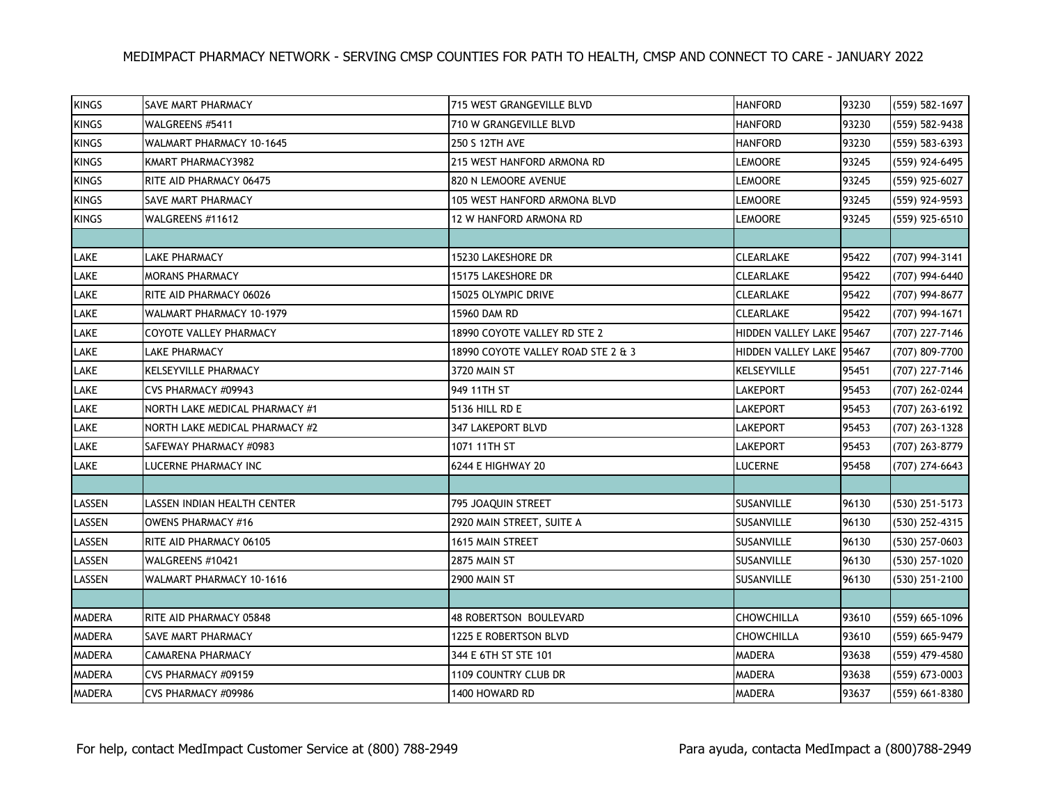| KINGS         | <b>SAVE MART PHARMACY</b>      | 715 WEST GRANGEVILLE BLVD          | <b>HANFORD</b>           | 93230 | (559) 582-1697   |
|---------------|--------------------------------|------------------------------------|--------------------------|-------|------------------|
| KINGS         | WALGREENS #5411                | 710 W GRANGEVILLE BLVD             | <b>HANFORD</b>           | 93230 | (559) 582-9438   |
| <b>KINGS</b>  | WALMART PHARMACY 10-1645       | 250 S 12TH AVE                     | <b>HANFORD</b>           | 93230 | (559) 583-6393   |
| KINGS         | KMART PHARMACY3982             | 215 WEST HANFORD ARMONA RD         | <b>LEMOORE</b>           | 93245 | (559) 924-6495   |
| <b>KINGS</b>  | RITE AID PHARMACY 06475        | 820 N LEMOORE AVENUE               | <b>LEMOORE</b>           | 93245 | (559) 925-6027   |
| <b>KINGS</b>  | SAVE MART PHARMACY             | 105 WEST HANFORD ARMONA BLVD       | <b>LEMOORE</b>           | 93245 | (559) 924-9593   |
| KINGS         | WALGREENS #11612               | 12 W HANFORD ARMONA RD             | <b>LEMOORE</b>           | 93245 | (559) 925-6510   |
|               |                                |                                    |                          |       |                  |
| LAKE          | LAKE PHARMACY                  | 15230 LAKESHORE DR                 | CLEARLAKE                | 95422 | (707) 994-3141   |
| LAKE          | <b>MORANS PHARMACY</b>         | 15175 LAKESHORE DR                 | CLEARLAKE                | 95422 | (707) 994-6440   |
| LAKE          | RITE AID PHARMACY 06026        | 15025 OLYMPIC DRIVE                | CLEARLAKE                | 95422 | (707) 994-8677   |
| LAKE          | WALMART PHARMACY 10-1979       | 15960 DAM RD                       | <b>CLEARLAKE</b>         | 95422 | (707) 994-1671   |
| LAKE          | COYOTE VALLEY PHARMACY         | 18990 COYOTE VALLEY RD STE 2       | HIDDEN VALLEY LAKE 95467 |       | (707) 227-7146   |
| LAKE          | LAKE PHARMACY                  | 18990 COYOTE VALLEY ROAD STE 2 & 3 | HIDDEN VALLEY LAKE 95467 |       | (707) 809-7700   |
| LAKE          | KELSEYVILLE PHARMACY           | 3720 MAIN ST                       | KELSEYVILLE              | 95451 | (707) 227-7146   |
| LAKE          | CVS PHARMACY #09943            | 949 11TH ST                        | LAKEPORT                 | 95453 | (707) 262-0244   |
| LAKE          | NORTH LAKE MEDICAL PHARMACY #1 | 5136 HILL RD E                     | <b>LAKEPORT</b>          | 95453 | (707) 263-6192   |
| LAKE          | NORTH LAKE MEDICAL PHARMACY #2 | 347 LAKEPORT BLVD                  | <b>LAKEPORT</b>          | 95453 | (707) 263-1328   |
| LAKE          | SAFEWAY PHARMACY #0983         | 1071 11TH ST                       | <b>LAKEPORT</b>          | 95453 | (707) 263-8779   |
| LAKE          | LUCERNE PHARMACY INC           | 6244 E HIGHWAY 20                  | LUCERNE                  | 95458 | (707) 274-6643   |
|               |                                |                                    |                          |       |                  |
| LASSEN        | LASSEN INDIAN HEALTH CENTER    | 795 JOAQUIN STREET                 | <b>SUSANVILLE</b>        | 96130 | (530) 251-5173   |
| LASSEN        | <b>OWENS PHARMACY #16</b>      | 2920 MAIN STREET, SUITE A          | SUSANVILLE               | 96130 | (530) 252-4315   |
| LASSEN        | RITE AID PHARMACY 06105        | 1615 MAIN STREET                   | SUSANVILLE               | 96130 | (530) 257-0603   |
| LASSEN        | WALGREENS #10421               | <b>2875 MAIN ST</b>                | <b>SUSANVILLE</b>        | 96130 | (530) 257-1020   |
| LASSEN        | WALMART PHARMACY 10-1616       | 2900 MAIN ST                       | SUSANVILLE               | 96130 | (530) 251-2100   |
|               |                                |                                    |                          |       |                  |
| MADERA        | RITE AID PHARMACY 05848        | <b>48 ROBERTSON BOULEVARD</b>      | CHOWCHILLA               | 93610 | (559) 665-1096   |
| <b>MADERA</b> | SAVE MART PHARMACY             | 1225 E ROBERTSON BLVD              | CHOWCHILLA               | 93610 | (559) 665-9479   |
| <b>MADERA</b> | CAMARENA PHARMACY              | 344 E 6TH ST STE 101               | <b>MADERA</b>            | 93638 | (559) 479-4580   |
| <b>MADERA</b> | CVS PHARMACY #09159            | 1109 COUNTRY CLUB DR               | <b>MADERA</b>            | 93638 | $(559)$ 673-0003 |
| <b>MADERA</b> | CVS PHARMACY #09986            | 1400 HOWARD RD                     | <b>MADERA</b>            | 93637 | (559) 661-8380   |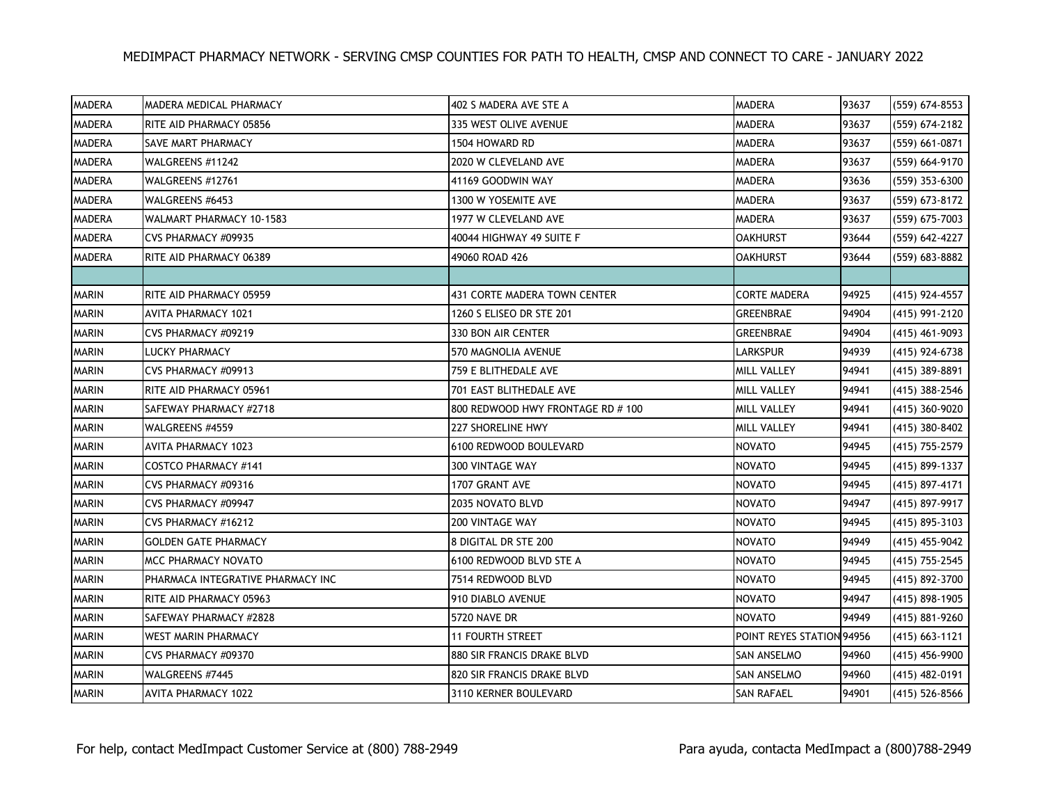| <b>MADERA</b> | MADERA MEDICAL PHARMACY           | 402 S MADERA AVE STE A            | <b>MADERA</b>             | 93637 | (559) 674-8553     |
|---------------|-----------------------------------|-----------------------------------|---------------------------|-------|--------------------|
| <b>MADERA</b> | RITE AID PHARMACY 05856           | 335 WEST OLIVE AVENUE             | <b>MADERA</b>             | 93637 | (559) 674-2182     |
| <b>MADERA</b> | SAVE MART PHARMACY                | 1504 HOWARD RD                    | <b>MADERA</b>             | 93637 | (559) 661-0871     |
| <b>MADERA</b> | WALGREENS #11242                  | 2020 W CLEVELAND AVE              | <b>MADERA</b>             | 93637 | (559) 664-9170     |
| MADERA        | WALGREENS #12761                  | 41169 GOODWIN WAY                 | <b>MADERA</b>             | 93636 | (559) 353-6300     |
| <b>MADERA</b> | WALGREENS #6453                   | 1300 W YOSEMITE AVE               | <b>MADERA</b>             | 93637 | (559) 673-8172     |
| <b>MADERA</b> | WALMART PHARMACY 10-1583          | 1977 W CLEVELAND AVE              | <b>MADERA</b>             | 93637 | (559) 675-7003     |
| <b>MADERA</b> | CVS PHARMACY #09935               | 40044 HIGHWAY 49 SUITE F          | <b>OAKHURST</b>           | 93644 | (559) 642-4227     |
| <b>MADERA</b> | RITE AID PHARMACY 06389           | 49060 ROAD 426                    | <b>OAKHURST</b>           | 93644 | (559) 683-8882     |
|               |                                   |                                   |                           |       |                    |
| <b>MARIN</b>  | RITE AID PHARMACY 05959           | 431 CORTE MADERA TOWN CENTER      | <b>CORTE MADERA</b>       | 94925 | (415) 924-4557     |
| <b>MARIN</b>  | AVITA PHARMACY 1021               | 1260 S ELISEO DR STE 201          | <b>GREENBRAE</b>          | 94904 | (415) 991-2120     |
| <b>MARIN</b>  | CVS PHARMACY #09219               | 330 BON AIR CENTER                | <b>GREENBRAE</b>          | 94904 | $(415)$ 461-9093   |
| <b>MARIN</b>  | LUCKY PHARMACY                    | 570 MAGNOLIA AVENUE               | <b>LARKSPUR</b>           | 94939 | (415) 924-6738     |
| <b>MARIN</b>  | CVS PHARMACY #09913               | 759 E BLITHEDALE AVE              | MILL VALLEY               | 94941 | (415) 389-8891     |
| <b>MARIN</b>  | RITE AID PHARMACY 05961           | 701 EAST BLITHEDALE AVE           | MILL VALLEY               | 94941 | (415) 388-2546     |
| <b>MARIN</b>  | SAFEWAY PHARMACY #2718            | 800 REDWOOD HWY FRONTAGE RD # 100 | MILL VALLEY               | 94941 | (415) 360-9020     |
| <b>MARIN</b>  | WALGREENS #4559                   | 227 SHORELINE HWY                 | <b>MILL VALLEY</b>        | 94941 | (415) 380-8402     |
| <b>MARIN</b>  | AVITA PHARMACY 1023               | 6100 REDWOOD BOULEVARD            | <b>NOVATO</b>             | 94945 | (415) 755-2579     |
| <b>MARIN</b>  | COSTCO PHARMACY #141              | 300 VINTAGE WAY                   | <b>NOVATO</b>             | 94945 | (415) 899-1337     |
| <b>MARIN</b>  | CVS PHARMACY #09316               | 1707 GRANT AVE                    | <b>NOVATO</b>             | 94945 | (415) 897-4171     |
| <b>MARIN</b>  | CVS PHARMACY #09947               | 2035 NOVATO BLVD                  | <b>NOVATO</b>             | 94947 | (415) 897-9917     |
| <b>MARIN</b>  | CVS PHARMACY #16212               | 200 VINTAGE WAY                   | <b>NOVATO</b>             | 94945 | $(415)$ 895-3103   |
| <b>MARIN</b>  | GOLDEN GATE PHARMACY              | 8 DIGITAL DR STE 200              | <b>NOVATO</b>             | 94949 | (415) 455-9042     |
| <b>MARIN</b>  | MCC PHARMACY NOVATO               | 6100 REDWOOD BLVD STE A           | <b>NOVATO</b>             | 94945 | (415) 755-2545     |
| <b>MARIN</b>  | PHARMACA INTEGRATIVE PHARMACY INC | 7514 REDWOOD BLVD                 | <b>NOVATO</b>             | 94945 | (415) 892-3700     |
| <b>MARIN</b>  | RITE AID PHARMACY 05963           | 910 DIABLO AVENUE                 | <b>NOVATO</b>             | 94947 | (415) 898-1905     |
| <b>MARIN</b>  | SAFEWAY PHARMACY #2828            | <b>5720 NAVE DR</b>               | NOVATO                    | 94949 | (415) 881-9260     |
| <b>MARIN</b>  | WEST MARIN PHARMACY               | <b>11 FOURTH STREET</b>           | POINT REYES STATION 94956 |       | $(415)$ 663-1121   |
| <b>MARIN</b>  | CVS PHARMACY #09370               | 880 SIR FRANCIS DRAKE BLVD        | SAN ANSELMO               | 94960 | (415) 456-9900     |
| <b>MARIN</b>  | WALGREENS #7445                   | 820 SIR FRANCIS DRAKE BLVD        | SAN ANSELMO               | 94960 | (415) 482-0191     |
| <b>MARIN</b>  | <b>AVITA PHARMACY 1022</b>        | 3110 KERNER BOULEVARD             | <b>SAN RAFAEL</b>         | 94901 | $(415) 526 - 8566$ |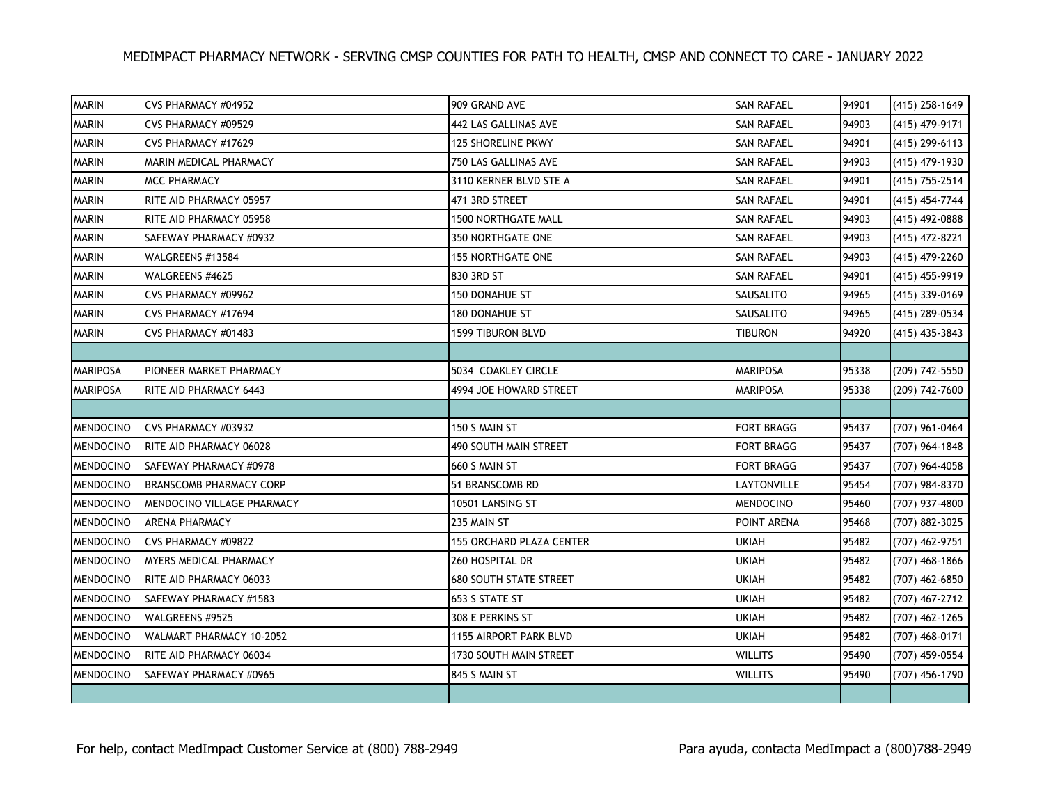| <b>MARIN</b>     | CVS PHARMACY #04952            | 909 GRAND AVE                 | <b>SAN RAFAEL</b> | 94901 | $(415)$ 258-1649 |
|------------------|--------------------------------|-------------------------------|-------------------|-------|------------------|
| <b>MARIN</b>     | CVS PHARMACY #09529            | 442 LAS GALLINAS AVE          | <b>SAN RAFAEL</b> | 94903 | (415) 479-9171   |
| <b>MARIN</b>     | CVS PHARMACY #17629            | 125 SHORELINE PKWY            | SAN RAFAEL        | 94901 | (415) 299-6113   |
| <b>MARIN</b>     | <b>MARIN MEDICAL PHARMACY</b>  | 750 LAS GALLINAS AVE          | <b>SAN RAFAEL</b> | 94903 | (415) 479-1930   |
| <b>MARIN</b>     | <b>MCC PHARMACY</b>            | 3110 KERNER BLVD STE A        | <b>SAN RAFAEL</b> | 94901 | (415) 755-2514   |
| <b>MARIN</b>     | RITE AID PHARMACY 05957        | 471 3RD STREET                | SAN RAFAEL        | 94901 | (415) 454-7744   |
| <b>MARIN</b>     | RITE AID PHARMACY 05958        | 1500 NORTHGATE MALL           | <b>SAN RAFAEL</b> | 94903 | (415) 492-0888   |
| <b>MARIN</b>     | SAFEWAY PHARMACY #0932         | <b>350 NORTHGATE ONE</b>      | <b>SAN RAFAEL</b> | 94903 | (415) 472-8221   |
| <b>MARIN</b>     | WALGREENS #13584               | <b>155 NORTHGATE ONE</b>      | SAN RAFAEL        | 94903 | (415) 479-2260   |
| <b>MARIN</b>     | WALGREENS #4625                | 830 3RD ST                    | SAN RAFAEL        | 94901 | (415) 455-9919   |
| <b>MARIN</b>     | CVS PHARMACY #09962            | 150 DONAHUE ST                | SAUSALITO         | 94965 | (415) 339-0169   |
| <b>MARIN</b>     | CVS PHARMACY #17694            | <b>180 DONAHUE ST</b>         | SAUSALITO         | 94965 | (415) 289-0534   |
| <b>MARIN</b>     | CVS PHARMACY #01483            | 1599 TIBURON BLVD             | TIBURON           | 94920 | (415) 435-3843   |
|                  |                                |                               |                   |       |                  |
| <b>MARIPOSA</b>  | PIONEER MARKET PHARMACY        | 5034 COAKLEY CIRCLE           | <b>MARIPOSA</b>   | 95338 | (209) 742-5550   |
| <b>MARIPOSA</b>  | <b>RITE AID PHARMACY 6443</b>  | 4994 JOE HOWARD STREET        | MARIPOSA          | 95338 | (209) 742-7600   |
|                  |                                |                               |                   |       |                  |
| <b>MENDOCINO</b> | ICVS PHARMACY #03932           | 150 S MAIN ST                 | <b>FORT BRAGG</b> | 95437 | (707) 961-0464   |
| <b>MENDOCINO</b> | <b>RITE AID PHARMACY 06028</b> | 490 SOUTH MAIN STREET         | FORT BRAGG        | 95437 | (707) 964-1848   |
| <b>MENDOCINO</b> | SAFEWAY PHARMACY #0978         |                               |                   |       |                  |
|                  |                                | 660 S MAIN ST                 | <b>FORT BRAGG</b> | 95437 | (707) 964-4058   |
| <b>MENDOCINO</b> | <b>BRANSCOMB PHARMACY CORP</b> | 51 BRANSCOMB RD               | LAYTONVILLE       | 95454 | (707) 984-8370   |
| <b>MENDOCINO</b> | MENDOCINO VILLAGE PHARMACY     | 10501 LANSING ST              | <b>MENDOCINO</b>  | 95460 | (707) 937-4800   |
| <b>MENDOCINO</b> | <b>ARENA PHARMACY</b>          | 235 MAIN ST                   | POINT ARENA       | 95468 | (707) 882-3025   |
| <b>MENDOCINO</b> | ICVS PHARMACY #09822           | 155 ORCHARD PLAZA CENTER      | <b>UKIAH</b>      | 95482 | (707) 462-9751   |
| MENDOCINO        | <b>IMYERS MEDICAL PHARMACY</b> | 260 HOSPITAL DR               | UKIAH             | 95482 | (707) 468-1866   |
| <b>MENDOCINO</b> | <b>RITE AID PHARMACY 06033</b> | <b>680 SOUTH STATE STREET</b> | <b>UKIAH</b>      | 95482 | (707) 462-6850   |
| <b>MENDOCINO</b> | SAFEWAY PHARMACY #1583         | 653 S STATE ST                | <b>UKIAH</b>      | 95482 | (707) 467-2712   |
| <b>MENDOCINO</b> | WALGREENS #9525                | 308 E PERKINS ST              | UKIAH             | 95482 | (707) 462-1265   |
| <b>MENDOCINO</b> | WALMART PHARMACY 10-2052       | 1155 AIRPORT PARK BLVD        | <b>UKIAH</b>      | 95482 | (707) 468-0171   |
| <b>MENDOCINO</b> | RITE AID PHARMACY 06034        | 1730 SOUTH MAIN STREET        | <b>WILLITS</b>    | 95490 | (707) 459-0554   |
| <b>MENDOCINO</b> | SAFEWAY PHARMACY #0965         | 845 S MAIN ST                 | <b>WILLITS</b>    | 95490 | (707) 456-1790   |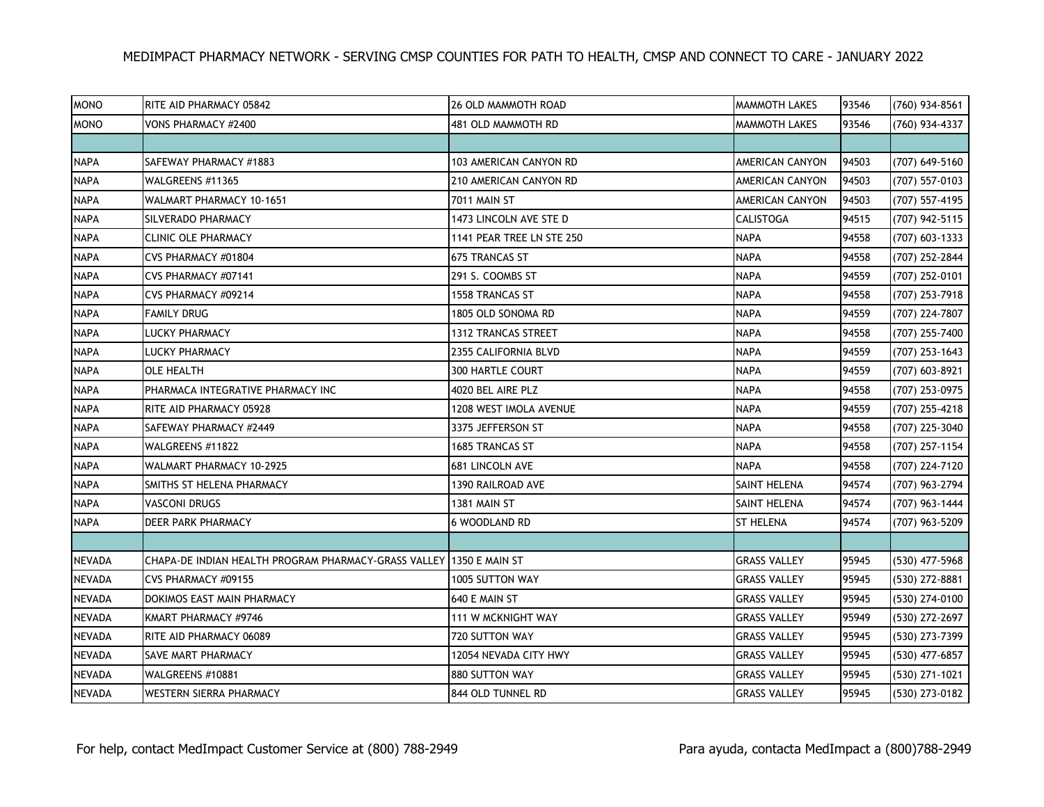| MONO          | RITE AID PHARMACY 05842                                               | 26 OLD MAMMOTH ROAD       | <b>MAMMOTH LAKES</b>   | 93546 | (760) 934-8561 |
|---------------|-----------------------------------------------------------------------|---------------------------|------------------------|-------|----------------|
| <b>MONO</b>   | VONS PHARMACY #2400                                                   | 481 OLD MAMMOTH RD        | <b>MAMMOTH LAKES</b>   | 93546 | (760) 934-4337 |
|               |                                                                       |                           |                        |       |                |
| <b>NAPA</b>   | SAFEWAY PHARMACY #1883                                                | 103 AMERICAN CANYON RD    | AMERICAN CANYON        | 94503 | (707) 649-5160 |
| <b>NAPA</b>   | WALGREENS #11365                                                      | 210 AMERICAN CANYON RD    | <b>AMERICAN CANYON</b> | 94503 | (707) 557-0103 |
| <b>NAPA</b>   | WALMART PHARMACY 10-1651                                              | <b>7011 MAIN ST</b>       | AMERICAN CANYON        | 94503 | (707) 557-4195 |
| <b>NAPA</b>   | SILVERADO PHARMACY                                                    | 1473 LINCOLN AVE STE D    | CALISTOGA              | 94515 | (707) 942-5115 |
| <b>NAPA</b>   | <b>CLINIC OLE PHARMACY</b>                                            | 1141 PEAR TREE LN STE 250 | <b>NAPA</b>            | 94558 | (707) 603-1333 |
| <b>NAPA</b>   | CVS PHARMACY #01804                                                   | 675 TRANCAS ST            | <b>NAPA</b>            | 94558 | (707) 252-2844 |
| <b>NAPA</b>   | CVS PHARMACY #07141                                                   | 291 S. COOMBS ST          | <b>NAPA</b>            | 94559 | (707) 252-0101 |
| <b>NAPA</b>   | CVS PHARMACY #09214                                                   | 1558 TRANCAS ST           | <b>NAPA</b>            | 94558 | (707) 253-7918 |
| <b>NAPA</b>   | <b>FAMILY DRUG</b>                                                    | 1805 OLD SONOMA RD        | <b>NAPA</b>            | 94559 | (707) 224-7807 |
| <b>NAPA</b>   | LUCKY PHARMACY                                                        | 1312 TRANCAS STREET       | <b>NAPA</b>            | 94558 | (707) 255-7400 |
| <b>NAPA</b>   | LUCKY PHARMACY                                                        | 2355 CALIFORNIA BLVD      | <b>NAPA</b>            | 94559 | (707) 253-1643 |
| <b>NAPA</b>   | OLE HEALTH                                                            | <b>300 HARTLE COURT</b>   | <b>NAPA</b>            | 94559 | (707) 603-8921 |
| <b>NAPA</b>   | PHARMACA INTEGRATIVE PHARMACY INC                                     | 4020 BEL AIRE PLZ         | <b>NAPA</b>            | 94558 | (707) 253-0975 |
| <b>NAPA</b>   | RITE AID PHARMACY 05928                                               | 1208 WEST IMOLA AVENUE    | <b>NAPA</b>            | 94559 | (707) 255-4218 |
| <b>NAPA</b>   | SAFEWAY PHARMACY #2449                                                | 3375 JEFFERSON ST         | <b>NAPA</b>            | 94558 | (707) 225-3040 |
| <b>NAPA</b>   | WALGREENS #11822                                                      | 1685 TRANCAS ST           | <b>NAPA</b>            | 94558 | (707) 257-1154 |
| <b>NAPA</b>   | WALMART PHARMACY 10-2925                                              | <b>681 LINCOLN AVE</b>    | <b>NAPA</b>            | 94558 | (707) 224-7120 |
| <b>NAPA</b>   | SMITHS ST HELENA PHARMACY                                             | 1390 RAILROAD AVE         | SAINT HELENA           | 94574 | (707) 963-2794 |
| <b>NAPA</b>   | <b>VASCONI DRUGS</b>                                                  | 1381 MAIN ST              | SAINT HELENA           | 94574 | (707) 963-1444 |
| <b>NAPA</b>   | DEER PARK PHARMACY                                                    | <b>6 WOODLAND RD</b>      | <b>ST HELENA</b>       | 94574 | (707) 963-5209 |
|               |                                                                       |                           |                        |       |                |
| <b>NEVADA</b> | CHAPA-DE INDIAN HEALTH PROGRAM PHARMACY-GRASS VALLEY   1350 E MAIN ST |                           | <b>GRASS VALLEY</b>    | 95945 | (530) 477-5968 |
| <b>NEVADA</b> | CVS PHARMACY #09155                                                   | 1005 SUTTON WAY           | <b>GRASS VALLEY</b>    | 95945 | (530) 272-8881 |
| <b>NEVADA</b> | DOKIMOS EAST MAIN PHARMACY                                            | 640 E MAIN ST             | <b>GRASS VALLEY</b>    | 95945 | (530) 274-0100 |
| <b>NEVADA</b> | KMART PHARMACY #9746                                                  | <b>111 W MCKNIGHT WAY</b> | <b>GRASS VALLEY</b>    | 95949 | (530) 272-2697 |
| <b>NEVADA</b> | RITE AID PHARMACY 06089                                               | 720 SUTTON WAY            | <b>GRASS VALLEY</b>    | 95945 | (530) 273-7399 |
| <b>NEVADA</b> | SAVE MART PHARMACY                                                    | 12054 NEVADA CITY HWY     | <b>GRASS VALLEY</b>    | 95945 | (530) 477-6857 |
| <b>NEVADA</b> | WALGREENS #10881                                                      | 880 SUTTON WAY            | <b>GRASS VALLEY</b>    | 95945 | (530) 271-1021 |
| NEVADA        | WESTERN SIERRA PHARMACY                                               | 844 OLD TUNNEL RD         | <b>GRASS VALLEY</b>    | 95945 | (530) 273-0182 |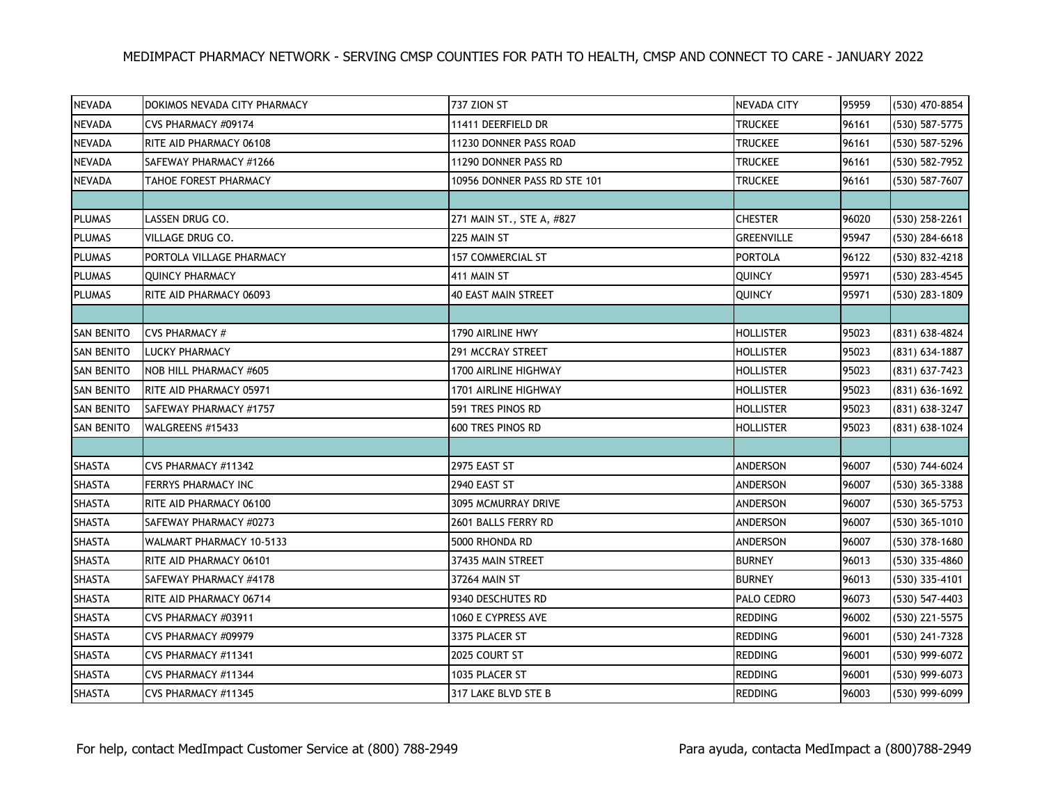| NEVADA            | DOKIMOS NEVADA CITY PHARMACY   | 737 ZION ST                  | NEVADA CITY       | 95959 | (530) 470-8854   |
|-------------------|--------------------------------|------------------------------|-------------------|-------|------------------|
| <b>NEVADA</b>     | CVS PHARMACY #09174            | 11411 DEERFIELD DR           | <b>TRUCKEE</b>    | 96161 | (530) 587-5775   |
| <b>NEVADA</b>     | RITE AID PHARMACY 06108        | 11230 DONNER PASS ROAD       | <b>TRUCKEE</b>    | 96161 | (530) 587-5296   |
| <b>NEVADA</b>     | SAFEWAY PHARMACY #1266         | 11290 DONNER PASS RD         | <b>TRUCKEE</b>    | 96161 | (530) 582-7952   |
| <b>NEVADA</b>     | TAHOE FOREST PHARMACY          | 10956 DONNER PASS RD STE 101 | <b>TRUCKEE</b>    | 96161 | (530) 587-7607   |
|                   |                                |                              |                   |       |                  |
| <b>PLUMAS</b>     | LASSEN DRUG CO.                | 271 MAIN ST., STE A, #827    | <b>CHESTER</b>    | 96020 | (530) 258-2261   |
| PLUMAS            | VILLAGE DRUG CO.               | 225 MAIN ST                  | <b>GREENVILLE</b> | 95947 | (530) 284-6618   |
| PLUMAS            | PORTOLA VILLAGE PHARMACY       | <b>157 COMMERCIAL ST</b>     | <b>PORTOLA</b>    | 96122 | (530) 832-4218   |
| <b>PLUMAS</b>     | QUINCY PHARMACY                | 411 MAIN ST                  | QUINCY            | 95971 | (530) 283-4545   |
| <b>PLUMAS</b>     | RITE AID PHARMACY 06093        | <b>40 EAST MAIN STREET</b>   | QUINCY            | 95971 | (530) 283-1809   |
|                   |                                |                              |                   |       |                  |
| <b>SAN BENITO</b> | <b>CVS PHARMACY #</b>          | 1790 AIRLINE HWY             | <b>HOLLISTER</b>  | 95023 | (831) 638-4824   |
| <b>SAN BENITO</b> | <b>LUCKY PHARMACY</b>          | <b>291 MCCRAY STREET</b>     | HOLLISTER         | 95023 | (831) 634-1887   |
| <b>SAN BENITO</b> | <b>NOB HILL PHARMACY #605</b>  | 1700 AIRLINE HIGHWAY         | <b>HOLLISTER</b>  | 95023 | (831) 637-7423   |
| <b>SAN BENITO</b> | <b>RITE AID PHARMACY 05971</b> | 1701 AIRLINE HIGHWAY         | HOLLISTER         | 95023 | (831) 636-1692   |
| <b>SAN BENITO</b> | SAFEWAY PHARMACY #1757         | 591 TRES PINOS RD            | HOLLISTER         | 95023 | (831) 638-3247   |
| <b>SAN BENITO</b> | WALGREENS #15433               | 600 TRES PINOS RD            | HOLLISTER         | 95023 | (831) 638-1024   |
|                   |                                |                              |                   |       |                  |
| <b>SHASTA</b>     | CVS PHARMACY #11342            | 2975 EAST ST                 | <b>ANDERSON</b>   | 96007 | (530) 744-6024   |
| <b>SHASTA</b>     | <b>FERRYS PHARMACY INC</b>     | 2940 EAST ST                 | ANDERSON          | 96007 | (530) 365-3388   |
| <b>SHASTA</b>     | RITE AID PHARMACY 06100        | 3095 MCMURRAY DRIVE          | ANDERSON          | 96007 | (530) 365-5753   |
| <b>SHASTA</b>     | SAFEWAY PHARMACY #0273         | 2601 BALLS FERRY RD          | <b>ANDERSON</b>   | 96007 | $(530)$ 365-1010 |
| <b>SHASTA</b>     | WALMART PHARMACY 10-5133       | 5000 RHONDA RD               | ANDERSON          | 96007 | (530) 378-1680   |
| <b>SHASTA</b>     | RITE AID PHARMACY 06101        | 37435 MAIN STREET            | <b>BURNEY</b>     | 96013 | (530) 335-4860   |
| <b>SHASTA</b>     | SAFEWAY PHARMACY #4178         | 37264 MAIN ST                | <b>BURNEY</b>     | 96013 | (530) 335-4101   |
| <b>SHASTA</b>     | RITE AID PHARMACY 06714        | 9340 DESCHUTES RD            | PALO CEDRO        | 96073 | (530) 547-4403   |
| <b>SHASTA</b>     | CVS PHARMACY #03911            | 1060 E CYPRESS AVE           | REDDING           | 96002 | (530) 221-5575   |
| <b>SHASTA</b>     | CVS PHARMACY #09979            | 3375 PLACER ST               | REDDING           | 96001 | (530) 241-7328   |
| <b>SHASTA</b>     | CVS PHARMACY #11341            | 2025 COURT ST                | <b>REDDING</b>    | 96001 | (530) 999-6072   |
| <b>SHASTA</b>     | CVS PHARMACY #11344            | 1035 PLACER ST               | REDDING           | 96001 | (530) 999-6073   |
| <b>SHASTA</b>     | CVS PHARMACY #11345            | 317 LAKE BLVD STE B          | <b>REDDING</b>    | 96003 | (530) 999-6099   |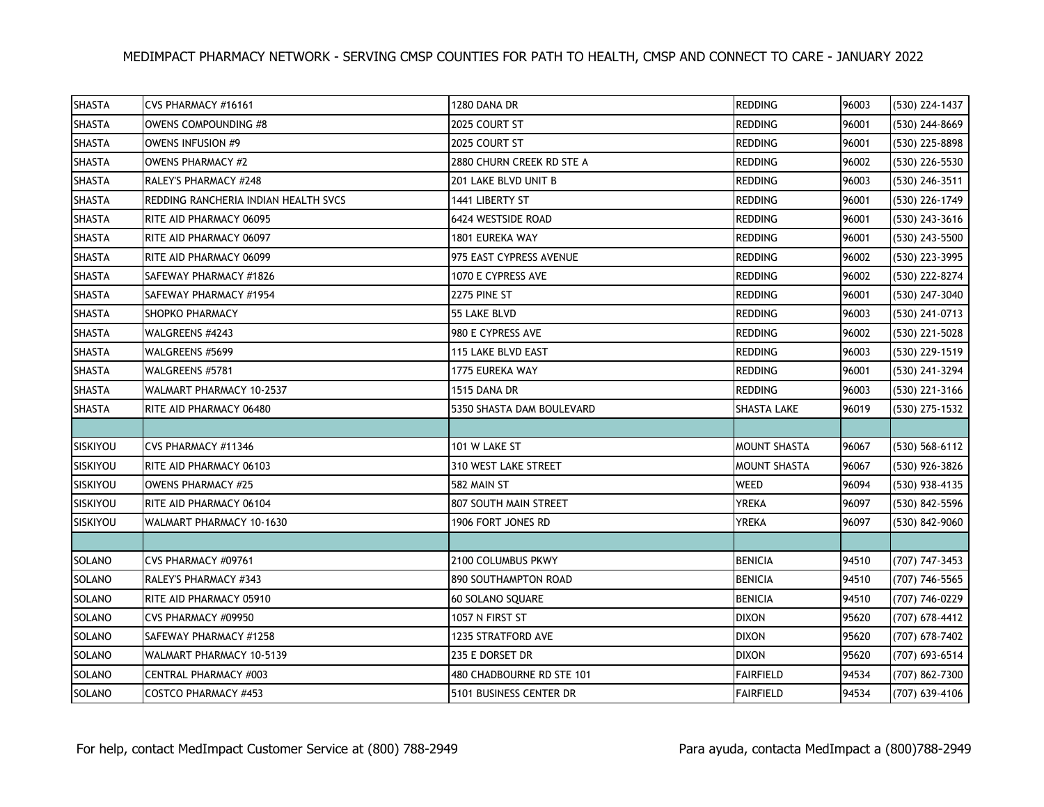| <b>SHASTA</b>   | CVS PHARMACY #16161                  | 1280 DANA DR              | <b>REDDING</b>      | 96003 | (530) 224-1437 |
|-----------------|--------------------------------------|---------------------------|---------------------|-------|----------------|
| <b>SHASTA</b>   | OWENS COMPOUNDING #8                 | 2025 COURT ST             | <b>REDDING</b>      | 96001 | (530) 244-8669 |
| <b>SHASTA</b>   | OWENS INFUSION #9                    | 2025 COURT ST             | <b>REDDING</b>      | 96001 | (530) 225-8898 |
| SHASTA          | <b>OWENS PHARMACY #2</b>             | 2880 CHURN CREEK RD STE A | <b>REDDING</b>      | 96002 | (530) 226-5530 |
| <b>SHASTA</b>   | RALEY'S PHARMACY #248                | 201 LAKE BLVD UNIT B      | <b>REDDING</b>      | 96003 | (530) 246-3511 |
| <b>SHASTA</b>   | REDDING RANCHERIA INDIAN HEALTH SVCS | 1441 LIBERTY ST           | <b>REDDING</b>      | 96001 | (530) 226-1749 |
| SHASTA          | RITE AID PHARMACY 06095              | 6424 WESTSIDE ROAD        | <b>REDDING</b>      | 96001 | (530) 243-3616 |
| <b>SHASTA</b>   | RITE AID PHARMACY 06097              | 1801 EUREKA WAY           | <b>REDDING</b>      | 96001 | (530) 243-5500 |
| <b>SHASTA</b>   | RITE AID PHARMACY 06099              | 975 EAST CYPRESS AVENUE   | <b>REDDING</b>      | 96002 | (530) 223-3995 |
| <b>SHASTA</b>   | SAFEWAY PHARMACY #1826               | 1070 E CYPRESS AVE        | <b>REDDING</b>      | 96002 | (530) 222-8274 |
| <b>SHASTA</b>   | SAFEWAY PHARMACY #1954               | 2275 PINE ST              | <b>REDDING</b>      | 96001 | (530) 247-3040 |
| <b>SHASTA</b>   | <b>SHOPKO PHARMACY</b>               | 55 LAKE BLVD              | <b>REDDING</b>      | 96003 | (530) 241-0713 |
| <b>SHASTA</b>   | WALGREENS #4243                      | 980 E CYPRESS AVE         | <b>REDDING</b>      | 96002 | (530) 221-5028 |
| <b>SHASTA</b>   | WALGREENS #5699                      | 115 LAKE BLVD EAST        | <b>REDDING</b>      | 96003 | (530) 229-1519 |
| <b>SHASTA</b>   | WALGREENS #5781                      | 1775 EUREKA WAY           | <b>REDDING</b>      | 96001 | (530) 241-3294 |
| <b>SHASTA</b>   | WALMART PHARMACY 10-2537             | 1515 DANA DR              | <b>REDDING</b>      | 96003 | (530) 221-3166 |
|                 |                                      |                           |                     |       |                |
| <b>SHASTA</b>   | <b>RITE AID PHARMACY 06480</b>       | 5350 SHASTA DAM BOULEVARD | <b>SHASTA LAKE</b>  | 96019 | (530) 275-1532 |
|                 |                                      |                           |                     |       |                |
| <b>SISKIYOU</b> | CVS PHARMACY #11346                  | 101 W LAKE ST             | MOUNT SHASTA        | 96067 | (530) 568-6112 |
| SISKIYOU        | RITE AID PHARMACY 06103              | 310 WEST LAKE STREET      | <b>MOUNT SHASTA</b> | 96067 | (530) 926-3826 |
| <b>SISKIYOU</b> | <b>OWENS PHARMACY #25</b>            | 582 MAIN ST               | <b>WEED</b>         | 96094 | (530) 938-4135 |
| SISKIYOU        | RITE AID PHARMACY 06104              | 807 SOUTH MAIN STREET     | YREKA               | 96097 | (530) 842-5596 |
| SISKIYOU        | WALMART PHARMACY 10-1630             | 1906 FORT JONES RD        | <b>YREKA</b>        | 96097 | (530) 842-9060 |
|                 |                                      |                           |                     |       |                |
| SOLANO          | CVS PHARMACY #09761                  | 2100 COLUMBUS PKWY        | <b>BENICIA</b>      | 94510 | (707) 747-3453 |
| <b>SOLANO</b>   | RALEY'S PHARMACY #343                | 890 SOUTHAMPTON ROAD      | <b>BENICIA</b>      | 94510 | (707) 746-5565 |
| <b>SOLANO</b>   | RITE AID PHARMACY 05910              | <b>60 SOLANO SQUARE</b>   | <b>BENICIA</b>      | 94510 | (707) 746-0229 |
| <b>SOLANO</b>   | CVS PHARMACY #09950                  | 1057 N FIRST ST           | <b>DIXON</b>        | 95620 | (707) 678-4412 |
| SOLANO          | SAFEWAY PHARMACY #1258               | 1235 STRATFORD AVE        | <b>DIXON</b>        | 95620 | (707) 678-7402 |
| <b>SOLANO</b>   | WALMART PHARMACY 10-5139             | 235 E DORSET DR           | <b>DIXON</b>        | 95620 | (707) 693-6514 |
| SOLANO          | CENTRAL PHARMACY #003                | 480 CHADBOURNE RD STE 101 | <b>FAIRFIELD</b>    | 94534 | (707) 862-7300 |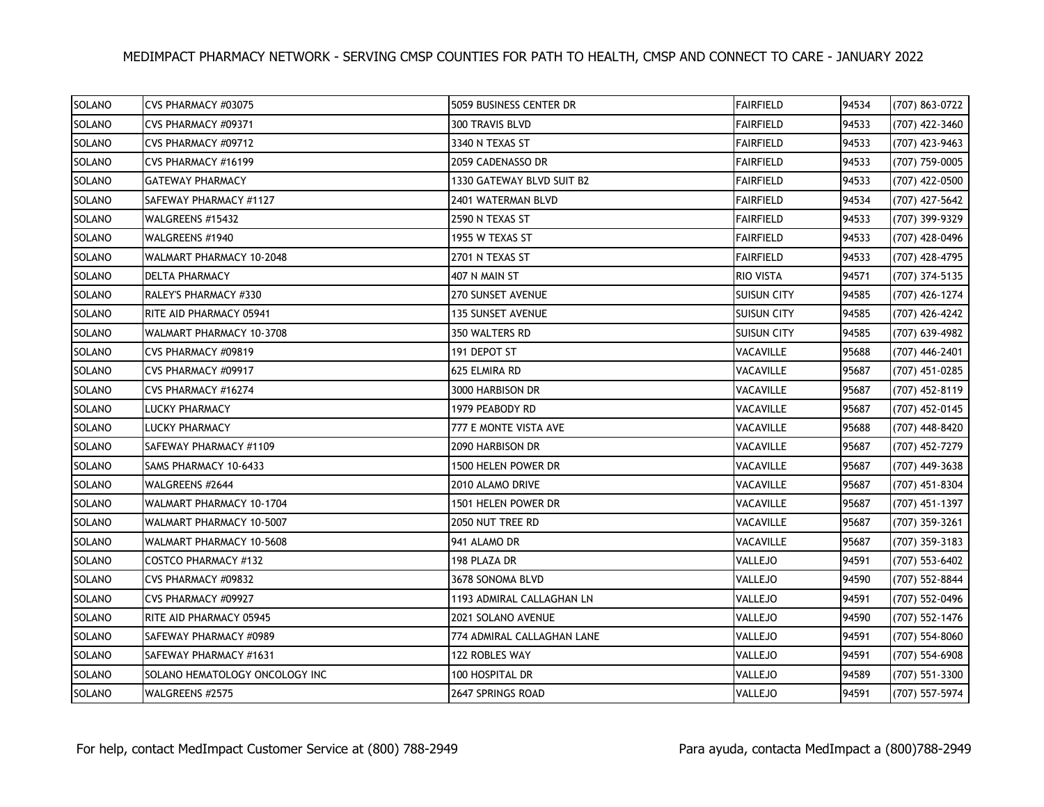| <b>SOLANO</b> | CVS PHARMACY #03075            | 5059 BUSINESS CENTER DR    | <b>FAIRFIELD</b>   | 94534 | (707) 863-0722 |
|---------------|--------------------------------|----------------------------|--------------------|-------|----------------|
| SOLANO        | CVS PHARMACY #09371            | 300 TRAVIS BLVD            | <b>FAIRFIELD</b>   | 94533 | (707) 422-3460 |
| SOLANO        | CVS PHARMACY #09712            | 3340 N TEXAS ST            | <b>FAIRFIELD</b>   | 94533 | (707) 423-9463 |
| <b>SOLANO</b> | CVS PHARMACY #16199            | 2059 CADENASSO DR          | FAIRFIELD          | 94533 | (707) 759-0005 |
| <b>SOLANO</b> | <b>GATEWAY PHARMACY</b>        | 1330 GATEWAY BLVD SUIT B2  | <b>FAIRFIELD</b>   | 94533 | (707) 422-0500 |
| SOLANO        | SAFEWAY PHARMACY #1127         | 2401 WATERMAN BLVD         | <b>FAIRFIELD</b>   | 94534 | (707) 427-5642 |
| SOLANO        | WALGREENS #15432               | 2590 N TEXAS ST            | FAIRFIELD          | 94533 | (707) 399-9329 |
| <b>SOLANO</b> | WALGREENS #1940                | 1955 W TEXAS ST            | <b>FAIRFIELD</b>   | 94533 | (707) 428-0496 |
| SOLANO        | WALMART PHARMACY 10-2048       | 2701 N TEXAS ST            | <b>FAIRFIELD</b>   | 94533 | (707) 428-4795 |
| SOLANO        | <b>DELTA PHARMACY</b>          | 407 N MAIN ST              | RIO VISTA          | 94571 | (707) 374-5135 |
| SOLANO        | RALEY'S PHARMACY #330          | 270 SUNSET AVENUE          | <b>SUISUN CITY</b> | 94585 | (707) 426-1274 |
| SOLANO        | <b>RITE AID PHARMACY 05941</b> | 135 SUNSET AVENUE          | <b>SUISUN CITY</b> | 94585 | (707) 426-4242 |
| SOLANO        | WALMART PHARMACY 10-3708       | 350 WALTERS RD             | SUISUN CITY        | 94585 | (707) 639-4982 |
| <b>SOLANO</b> | CVS PHARMACY #09819            | 191 DEPOT ST               | VACAVILLE          | 95688 | (707) 446-2401 |
| SOLANO        | CVS PHARMACY #09917            | 625 ELMIRA RD              | VACAVILLE          | 95687 | (707) 451-0285 |
| SOLANO        | CVS PHARMACY #16274            | 3000 HARBISON DR           | VACAVILLE          | 95687 | (707) 452-8119 |
| <b>SOLANO</b> | <b>LUCKY PHARMACY</b>          | 1979 PEABODY RD            | VACAVILLE          | 95687 | (707) 452-0145 |
| SOLANO        | LUCKY PHARMACY                 | 777 E MONTE VISTA AVE      | VACAVILLE          | 95688 | (707) 448-8420 |
| SOLANO        | SAFEWAY PHARMACY #1109         | 2090 HARBISON DR           | VACAVILLE          | 95687 | (707) 452-7279 |
| SOLANO        | SAMS PHARMACY 10-6433          | 1500 HELEN POWER DR        | VACAVILLE          | 95687 | (707) 449-3638 |
| SOLANO        | WALGREENS #2644                | 2010 ALAMO DRIVE           | VACAVILLE          | 95687 | (707) 451-8304 |
| SOLANO        | WALMART PHARMACY 10-1704       | 1501 HELEN POWER DR        | VACAVILLE          | 95687 | (707) 451-1397 |
| SOLANO        | WALMART PHARMACY 10-5007       | 2050 NUT TREE RD           | VACAVILLE          | 95687 | (707) 359-3261 |
| SOLANO        | WALMART PHARMACY 10-5608       | 941 ALAMO DR               | VACAVILLE          | 95687 | (707) 359-3183 |
| SOLANO        | <b>COSTCO PHARMACY #132</b>    | 198 PLAZA DR               | VALLEJO            | 94591 | (707) 553-6402 |
| SOLANO        | CVS PHARMACY #09832            | 3678 SONOMA BLVD           | VALLEJO            | 94590 | (707) 552-8844 |
| SOLANO        | CVS PHARMACY #09927            | 1193 ADMIRAL CALLAGHAN LN  | VALLEJO            | 94591 | (707) 552-0496 |
| SOLANO        | RITE AID PHARMACY 05945        | 2021 SOLANO AVENUE         | VALLEJO            | 94590 | (707) 552-1476 |
| <b>SOLANO</b> | SAFEWAY PHARMACY #0989         | 774 ADMIRAL CALLAGHAN LANE | VALLEJO            | 94591 | (707) 554-8060 |
| SOLANO        | SAFEWAY PHARMACY #1631         | 122 ROBLES WAY             | VALLEJO            | 94591 | (707) 554-6908 |
| SOLANO        | SOLANO HEMATOLOGY ONCOLOGY INC | 100 HOSPITAL DR            | VALLEJO            | 94589 | (707) 551-3300 |
| <b>SOLANO</b> | WALGREENS #2575                | 2647 SPRINGS ROAD          | VALLEJO            | 94591 | (707) 557-5974 |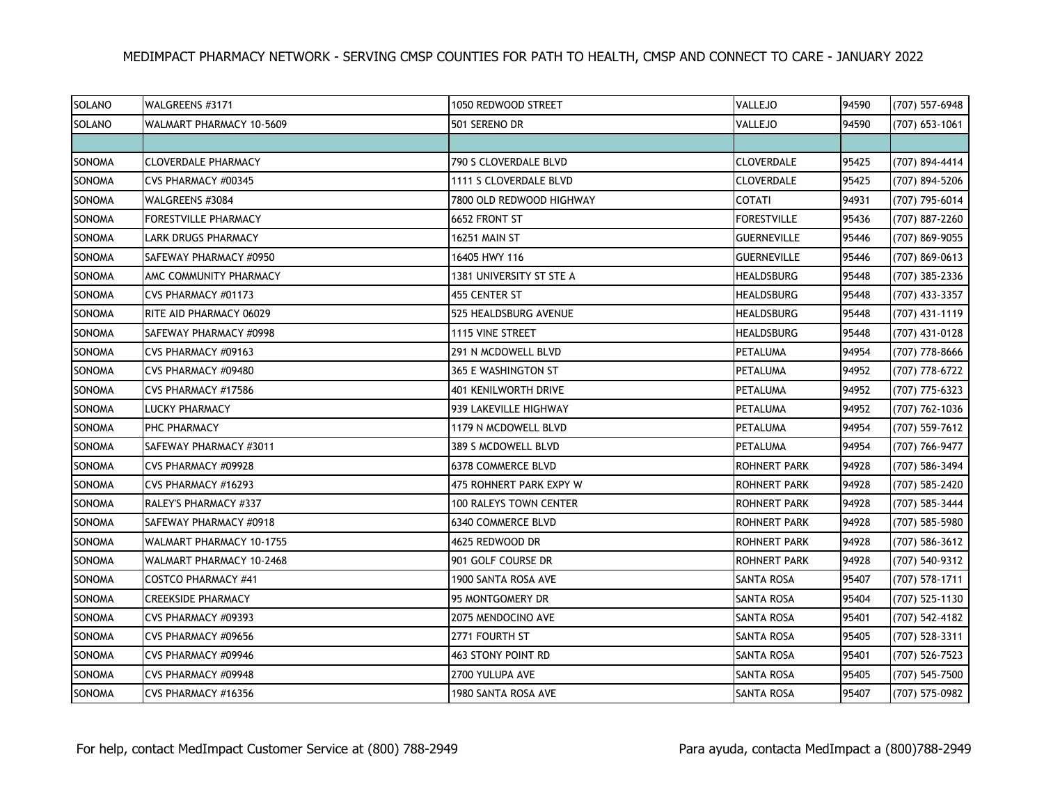| <b>SOLANO</b> | WALGREENS #3171            | 1050 REDWOOD STREET           | VALLEJO             | 94590 | (707) 557-6948   |
|---------------|----------------------------|-------------------------------|---------------------|-------|------------------|
| SOLANO        | WALMART PHARMACY 10-5609   | 501 SERENO DR                 | VALLEJO             | 94590 | $(707)$ 653-1061 |
|               |                            |                               |                     |       |                  |
| SONOMA        | <b>CLOVERDALE PHARMACY</b> | 790 S CLOVERDALE BLVD         | <b>CLOVERDALE</b>   | 95425 | (707) 894-4414   |
| SONOMA        | CVS PHARMACY #00345        | 1111 S CLOVERDALE BLVD        | CLOVERDALE          | 95425 | (707) 894-5206   |
| SONOMA        | WALGREENS #3084            | 7800 OLD REDWOOD HIGHWAY      | COTATI              | 94931 | (707) 795-6014   |
| SONOMA        | FORESTVILLE PHARMACY       | 6652 FRONT ST                 | <b>FORESTVILLE</b>  | 95436 | (707) 887-2260   |
| SONOMA        | <b>LARK DRUGS PHARMACY</b> | 16251 MAIN ST                 | <b>GUERNEVILLE</b>  | 95446 | (707) 869-9055   |
| SONOMA        | SAFEWAY PHARMACY #0950     | 16405 HWY 116                 | GUERNEVILLE         | 95446 | (707) 869-0613   |
| SONOMA        | AMC COMMUNITY PHARMACY     | 1381 UNIVERSITY ST STE A      | HEALDSBURG          | 95448 | (707) 385-2336   |
| SONOMA        | CVS PHARMACY #01173        | 455 CENTER ST                 | <b>HEALDSBURG</b>   | 95448 | (707) 433-3357   |
| <b>SONOMA</b> | RITE AID PHARMACY 06029    | 525 HEALDSBURG AVENUE         | HEALDSBURG          | 95448 | (707) 431-1119   |
| SONOMA        | SAFEWAY PHARMACY #0998     | <b>1115 VINE STREET</b>       | HEALDSBURG          | 95448 | (707) 431-0128   |
| SONOMA        | CVS PHARMACY #09163        | 291 N MCDOWELL BLVD           | PETALUMA            | 94954 | (707) 778-8666   |
| SONOMA        | CVS PHARMACY #09480        | 365 E WASHINGTON ST           | PETALUMA            | 94952 | (707) 778-6722   |
| SONOMA        | CVS PHARMACY #17586        | 401 KENILWORTH DRIVE          | PETALUMA            | 94952 | (707) 775-6323   |
| SONOMA        | <b>LUCKY PHARMACY</b>      | 939 LAKEVILLE HIGHWAY         | <b>PETALUMA</b>     | 94952 | (707) 762-1036   |
| SONOMA        | <b>PHC PHARMACY</b>        | 1179 N MCDOWELL BLVD          | PETALUMA            | 94954 | (707) 559-7612   |
| SONOMA        | SAFEWAY PHARMACY #3011     | 389 S MCDOWELL BLVD           | PETALUMA            | 94954 | (707) 766-9477   |
| SONOMA        | CVS PHARMACY #09928        | <b>6378 COMMERCE BLVD</b>     | <b>ROHNERT PARK</b> | 94928 | (707) 586-3494   |
| SONOMA        | CVS PHARMACY #16293        | 475 ROHNERT PARK EXPY W       | ROHNERT PARK        | 94928 | (707) 585-2420   |
| <b>SONOMA</b> | RALEY'S PHARMACY #337      | <b>100 RALEYS TOWN CENTER</b> | ROHNERT PARK        | 94928 | (707) 585-3444   |
| SONOMA        | SAFEWAY PHARMACY #0918     | <b>6340 COMMERCE BLVD</b>     | ROHNERT PARK        | 94928 | (707) 585-5980   |
| SONOMA        | WALMART PHARMACY 10-1755   | 4625 REDWOOD DR               | ROHNERT PARK        | 94928 | (707) 586-3612   |
| SONOMA        | WALMART PHARMACY 10-2468   | 901 GOLF COURSE DR            | <b>ROHNERT PARK</b> | 94928 | (707) 540-9312   |
| SONOMA        | <b>COSTCO PHARMACY #41</b> | 1900 SANTA ROSA AVE           | SANTA ROSA          | 95407 | (707) 578-1711   |
| SONOMA        | CREEKSIDE PHARMACY         | 95 MONTGOMERY DR              | SANTA ROSA          | 95404 | (707) 525-1130   |
| SONOMA        | CVS PHARMACY #09393        | 2075 MENDOCINO AVE            | SANTA ROSA          | 95401 | (707) 542-4182   |
| SONOMA        | CVS PHARMACY #09656        | 2771 FOURTH ST                | SANTA ROSA          | 95405 | (707) 528-3311   |
| SONOMA        | CVS PHARMACY #09946        | 463 STONY POINT RD            | <b>SANTA ROSA</b>   | 95401 | (707) 526-7523   |
| SONOMA        | CVS PHARMACY #09948        | 2700 YULUPA AVE               | <b>SANTA ROSA</b>   | 95405 | (707) 545-7500   |
| SONOMA        | CVS PHARMACY #16356        | 1980 SANTA ROSA AVE           | SANTA ROSA          | 95407 | (707) 575-0982   |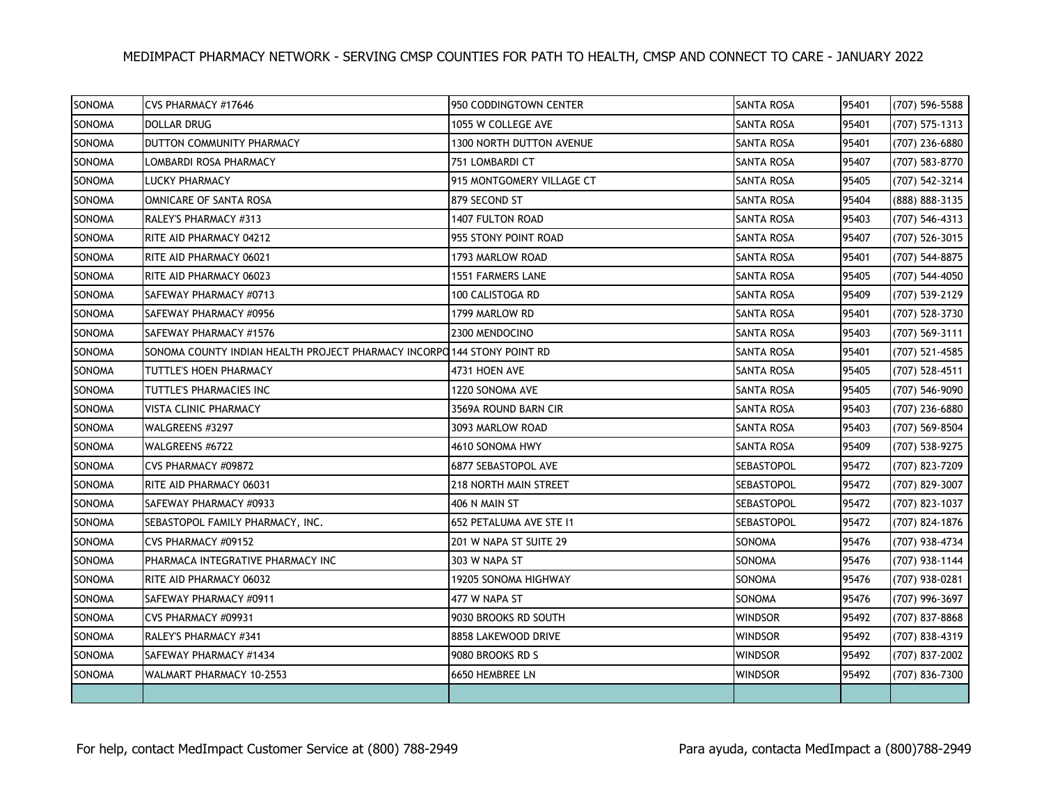| SONOMA | <b>CVS PHARMACY #17646</b>                                              | 950 CODDINGTOWN CENTER    | <b>SANTA ROSA</b> | 95401 | (707) 596-5588   |
|--------|-------------------------------------------------------------------------|---------------------------|-------------------|-------|------------------|
| SONOMA | <b>DOLLAR DRUG</b>                                                      | 1055 W COLLEGE AVE        | SANTA ROSA        | 95401 | $(707)$ 575-1313 |
| SONOMA | DUTTON COMMUNITY PHARMACY                                               | 1300 NORTH DUTTON AVENUE  | SANTA ROSA        | 95401 | (707) 236-6880   |
| SONOMA | LOMBARDI ROSA PHARMACY                                                  | 751 LOMBARDI CT           | SANTA ROSA        | 95407 | (707) 583-8770   |
| SONOMA | <b>LUCKY PHARMACY</b>                                                   | 915 MONTGOMERY VILLAGE CT | <b>SANTA ROSA</b> | 95405 | (707) 542-3214   |
| SONOMA | OMNICARE OF SANTA ROSA                                                  | 879 SECOND ST             | SANTA ROSA        | 95404 | (888) 888-3135   |
| SONOMA | RALEY'S PHARMACY #313                                                   | 1407 FULTON ROAD          | SANTA ROSA        | 95403 | (707) 546-4313   |
| SONOMA | RITE AID PHARMACY 04212                                                 | 955 STONY POINT ROAD      | <b>SANTA ROSA</b> | 95407 | (707) 526-3015   |
| SONOMA | RITE AID PHARMACY 06021                                                 | 1793 MARLOW ROAD          | SANTA ROSA        | 95401 | (707) 544-8875   |
| SONOMA | RITE AID PHARMACY 06023                                                 | 1551 FARMERS LANE         | SANTA ROSA        | 95405 | (707) 544-4050   |
| SONOMA | SAFEWAY PHARMACY #0713                                                  | 100 CALISTOGA RD          | SANTA ROSA        | 95409 | (707) 539-2129   |
| SONOMA | SAFEWAY PHARMACY #0956                                                  | 1799 MARLOW RD            | SANTA ROSA        | 95401 | (707) 528-3730   |
| SONOMA | SAFEWAY PHARMACY #1576                                                  | 2300 MENDOCINO            | SANTA ROSA        | 95403 | (707) 569-3111   |
| SONOMA | SONOMA COUNTY INDIAN HEALTH PROJECT PHARMACY INCORPO 144 STONY POINT RD |                           | SANTA ROSA        | 95401 | (707) 521-4585   |
| SONOMA | TUTTLE'S HOEN PHARMACY                                                  | 4731 HOEN AVE             | SANTA ROSA        | 95405 | (707) 528-4511   |
| SONOMA | TUTTLE'S PHARMACIES INC                                                 | 1220 SONOMA AVE           | SANTA ROSA        | 95405 | (707) 546-9090   |
| SONOMA | <b>VISTA CLINIC PHARMACY</b>                                            | 3569A ROUND BARN CIR      | <b>SANTA ROSA</b> | 95403 | (707) 236-6880   |
| SONOMA | WALGREENS #3297                                                         | 3093 MARLOW ROAD          | <b>SANTA ROSA</b> | 95403 | (707) 569-8504   |
| SONOMA | WALGREENS #6722                                                         | 4610 SONOMA HWY           | SANTA ROSA        | 95409 | (707) 538-9275   |
| SONOMA | CVS PHARMACY #09872                                                     | 6877 SEBASTOPOL AVE       | <b>SEBASTOPOL</b> | 95472 | (707) 823-7209   |
| SONOMA | RITE AID PHARMACY 06031                                                 | 218 NORTH MAIN STREET     | <b>SEBASTOPOL</b> | 95472 | (707) 829-3007   |
| SONOMA | SAFEWAY PHARMACY #0933                                                  | 406 N MAIN ST             | <b>SEBASTOPOL</b> | 95472 | (707) 823-1037   |
| SONOMA | SEBASTOPOL FAMILY PHARMACY, INC.                                        | 652 PETALUMA AVE STE I1   | <b>SEBASTOPOL</b> | 95472 | (707) 824-1876   |
| SONOMA | CVS PHARMACY #09152                                                     | 201 W NAPA ST SUITE 29    | SONOMA            | 95476 | (707) 938-4734   |
| SONOMA | PHARMACA INTEGRATIVE PHARMACY INC                                       | 303 W NAPA ST             | SONOMA            | 95476 | (707) 938-1144   |
| SONOMA | RITE AID PHARMACY 06032                                                 | 19205 SONOMA HIGHWAY      | SONOMA            | 95476 | (707) 938-0281   |
| SONOMA | SAFEWAY PHARMACY #0911                                                  | 477 W NAPA ST             | SONOMA            | 95476 | (707) 996-3697   |
| SONOMA | CVS PHARMACY #09931                                                     | 9030 BROOKS RD SOUTH      | WINDSOR           | 95492 | (707) 837-8868   |
| SONOMA | RALEY'S PHARMACY #341                                                   | 8858 LAKEWOOD DRIVE       | <b>WINDSOR</b>    | 95492 | (707) 838-4319   |
| SONOMA | SAFEWAY PHARMACY #1434                                                  | 9080 BROOKS RD S          | <b>WINDSOR</b>    | 95492 | (707) 837-2002   |
| SONOMA | WALMART PHARMACY 10-2553                                                | 6650 HEMBREE LN           | WINDSOR           | 95492 | (707) 836-7300   |
|        |                                                                         |                           |                   |       |                  |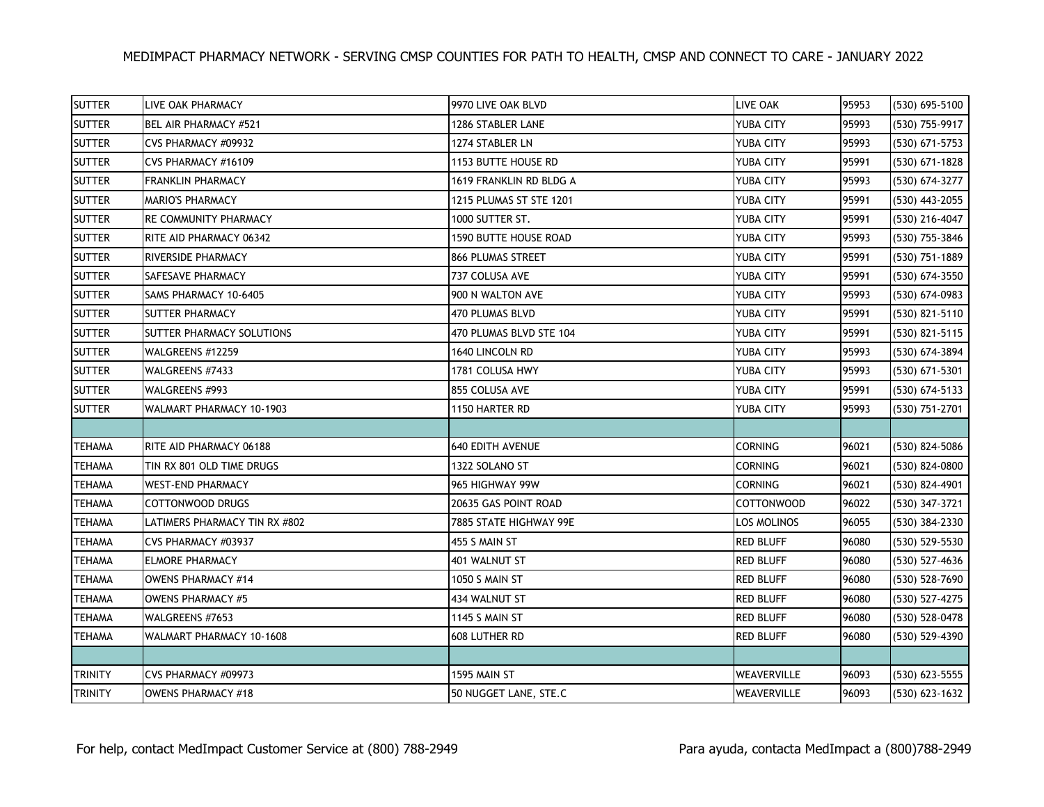| <b>SUTTER</b>  | LIVE OAK PHARMACY             | 9970 LIVE OAK BLVD      | LIVE OAK           | 95953 | (530) 695-5100   |
|----------------|-------------------------------|-------------------------|--------------------|-------|------------------|
| <b>SUTTER</b>  | <b>BEL AIR PHARMACY #521</b>  | 1286 STABLER LANE       | YUBA CITY          | 95993 | (530) 755-9917   |
| <b>SUTTER</b>  | CVS PHARMACY #09932           | 1274 STABLER LN         | YUBA CITY          | 95993 | (530) 671-5753   |
| <b>SUTTER</b>  | CVS PHARMACY #16109           | 1153 BUTTE HOUSE RD     | YUBA CITY          | 95991 | (530) 671-1828   |
| <b>SUTTER</b>  | <b>FRANKLIN PHARMACY</b>      | 1619 FRANKLIN RD BLDG A | YUBA CITY          | 95993 | (530) 674-3277   |
| <b>SUTTER</b>  | <b>MARIO'S PHARMACY</b>       | 1215 PLUMAS ST STE 1201 | YUBA CITY          | 95991 | (530) 443-2055   |
| <b>SUTTER</b>  | RE COMMUNITY PHARMACY         | 1000 SUTTER ST.         | YUBA CITY          | 95991 | (530) 216-4047   |
| <b>SUTTER</b>  | RITE AID PHARMACY 06342       | 1590 BUTTE HOUSE ROAD   | YUBA CITY          | 95993 | (530) 755-3846   |
| <b>SUTTER</b>  | <b>RIVERSIDE PHARMACY</b>     | 866 PLUMAS STREET       | YUBA CITY          | 95991 | (530) 751-1889   |
| <b>SUTTER</b>  | SAFESAVE PHARMACY             | 737 COLUSA AVE          | YUBA CITY          | 95991 | (530) 674-3550   |
| <b>SUTTER</b>  | SAMS PHARMACY 10-6405         | 900 N WALTON AVE        | YUBA CITY          | 95993 | (530) 674-0983   |
| <b>SUTTER</b>  | <b>SUTTER PHARMACY</b>        | 470 PLUMAS BLVD         | YUBA CITY          | 95991 | (530) 821-5110   |
| <b>SUTTER</b>  | SUTTER PHARMACY SOLUTIONS     | 470 PLUMAS BLVD STE 104 | YUBA CITY          | 95991 | (530) 821-5115   |
| <b>SUTTER</b>  | WALGREENS #12259              | 1640 LINCOLN RD         | YUBA CITY          | 95993 | (530) 674-3894   |
| <b>SUTTER</b>  | WALGREENS #7433               | 1781 COLUSA HWY         | YUBA CITY          | 95993 | (530) 671-5301   |
| <b>SUTTER</b>  | WALGREENS #993                | 855 COLUSA AVE          | YUBA CITY          | 95991 | (530) 674-5133   |
| <b>SUTTER</b>  | WALMART PHARMACY 10-1903      | 1150 HARTER RD          | YUBA CITY          | 95993 | (530) 751-2701   |
|                |                               |                         |                    |       |                  |
| <b>TEHAMA</b>  | RITE AID PHARMACY 06188       | <b>640 EDITH AVENUE</b> | <b>CORNING</b>     | 96021 | (530) 824-5086   |
| <b>TEHAMA</b>  | TIN RX 801 OLD TIME DRUGS     | 1322 SOLANO ST          | <b>CORNING</b>     | 96021 | (530) 824-0800   |
| <b>TEHAMA</b>  | <b>WEST-END PHARMACY</b>      | 965 HIGHWAY 99W         | <b>CORNING</b>     | 96021 | (530) 824-4901   |
| <b>TEHAMA</b>  | COTTONWOOD DRUGS              | 20635 GAS POINT ROAD    | COTTONWOOD         | 96022 | (530) 347-3721   |
| <b>TEHAMA</b>  | LATIMERS PHARMACY TIN RX #802 | 7885 STATE HIGHWAY 99E  | <b>LOS MOLINOS</b> | 96055 | (530) 384-2330   |
| <b>TEHAMA</b>  | CVS PHARMACY #03937           | 455 S MAIN ST           | <b>RED BLUFF</b>   | 96080 | (530) 529-5530   |
| <b>TEHAMA</b>  | <b>ELMORE PHARMACY</b>        | 401 WALNUT ST           | <b>RED BLUFF</b>   | 96080 | (530) 527-4636   |
| <b>TEHAMA</b>  | <b>OWENS PHARMACY #14</b>     | 1050 S MAIN ST          | <b>RED BLUFF</b>   | 96080 | (530) 528-7690   |
| <b>TEHAMA</b>  | <b>OWENS PHARMACY #5</b>      | 434 WALNUT ST           | <b>RED BLUFF</b>   | 96080 | (530) 527-4275   |
| <b>TEHAMA</b>  | WALGREENS #7653               | <b>1145 S MAIN ST</b>   | <b>RED BLUFF</b>   | 96080 | (530) 528-0478   |
| <b>TEHAMA</b>  | WALMART PHARMACY 10-1608      | 608 LUTHER RD           | <b>RED BLUFF</b>   | 96080 | (530) 529-4390   |
|                |                               |                         |                    |       |                  |
| <b>TRINITY</b> | CVS PHARMACY #09973           | 1595 MAIN ST            | <b>WEAVERVILLE</b> | 96093 | $(530)$ 623-5555 |
| <b>TRINITY</b> | OWENS PHARMACY #18            | 50 NUGGET LANE, STE.C   | <b>WEAVERVILLE</b> | 96093 | (530) 623-1632   |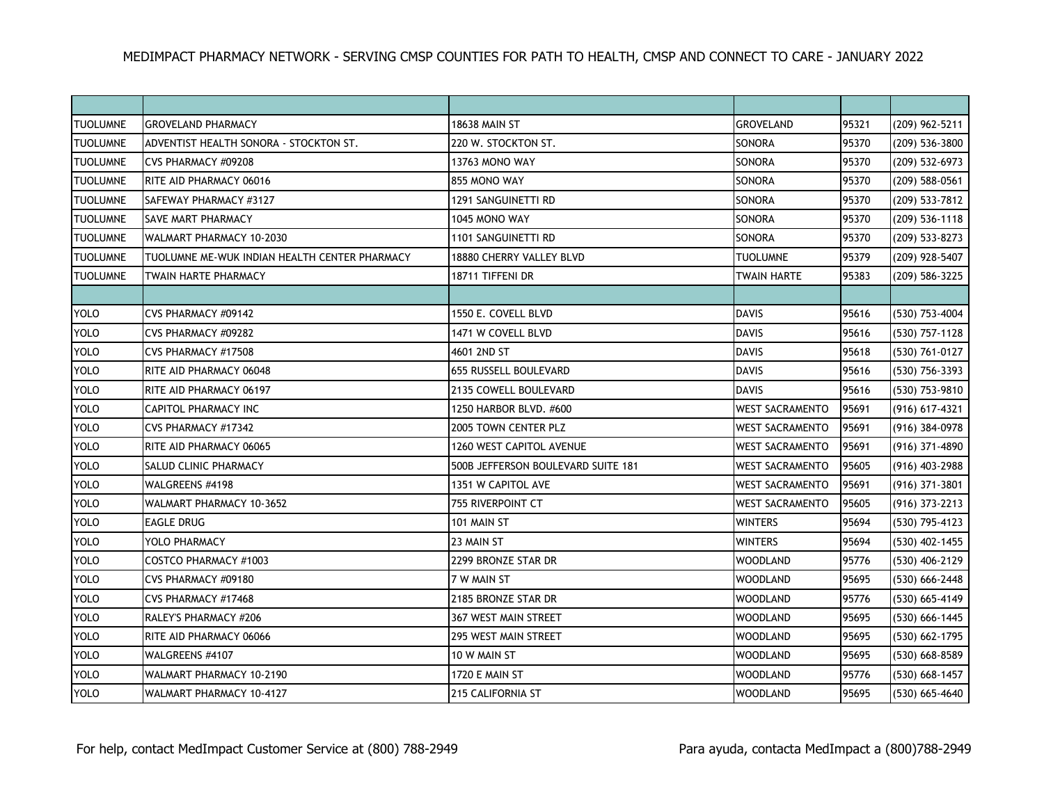| <b>TUOLUMNE</b> | <b>GROVELAND PHARMACY</b>                     | 18638 MAIN ST                      | <b>GROVELAND</b>       | 95321 | (209) 962-5211 |
|-----------------|-----------------------------------------------|------------------------------------|------------------------|-------|----------------|
| <b>TUOLUMNE</b> | ADVENTIST HEALTH SONORA - STOCKTON ST.        | 220 W. STOCKTON ST.                | SONORA                 | 95370 | (209) 536-3800 |
| <b>TUOLUMNE</b> | CVS PHARMACY #09208                           | 13763 MONO WAY                     | SONORA                 | 95370 | (209) 532-6973 |
| <b>TUOLUMNE</b> | RITE AID PHARMACY 06016                       | 855 MONO WAY                       | SONORA                 | 95370 | (209) 588-0561 |
| <b>TUOLUMNE</b> | SAFEWAY PHARMACY #3127                        | 1291 SANGUINETTI RD                | SONORA                 | 95370 | (209) 533-7812 |
| TUOLUMNE        | <b>SAVE MART PHARMACY</b>                     | 1045 MONO WAY                      | <b>SONORA</b>          | 95370 | (209) 536-1118 |
| <b>TUOLUMNE</b> | WALMART PHARMACY 10-2030                      | 1101 SANGUINETTI RD                | <b>SONORA</b>          | 95370 | (209) 533-8273 |
| <b>TUOLUMNE</b> | TUOLUMNE ME-WUK INDIAN HEALTH CENTER PHARMACY | 18880 CHERRY VALLEY BLVD           | <b>TUOLUMNE</b>        | 95379 | (209) 928-5407 |
| <b>TUOLUMNE</b> | TWAIN HARTE PHARMACY                          | 18711 TIFFENI DR                   | TWAIN HARTE            | 95383 | (209) 586-3225 |
|                 |                                               |                                    |                        |       |                |
| <b>YOLO</b>     | CVS PHARMACY #09142                           | 1550 E. COVELL BLVD                | <b>DAVIS</b>           | 95616 | (530) 753-4004 |
| <b>YOLO</b>     | CVS PHARMACY #09282                           | 1471 W COVELL BLVD                 | <b>DAVIS</b>           | 95616 | (530) 757-1128 |
| <b>YOLO</b>     | CVS PHARMACY #17508                           | 4601 2ND ST                        | <b>DAVIS</b>           | 95618 | (530) 761-0127 |
| <b>YOLO</b>     | <b>RITE AID PHARMACY 06048</b>                | <b>655 RUSSELL BOULEVARD</b>       | <b>DAVIS</b>           | 95616 | (530) 756-3393 |
| <b>YOLO</b>     | RITE AID PHARMACY 06197                       | 2135 COWELL BOULEVARD              | <b>DAVIS</b>           | 95616 | (530) 753-9810 |
| <b>YOLO</b>     | <b>CAPITOL PHARMACY INC</b>                   | 1250 HARBOR BLVD. #600             | <b>WEST SACRAMENTO</b> | 95691 | (916) 617-4321 |
| <b>YOLO</b>     | <b>CVS PHARMACY #17342</b>                    | <b>2005 TOWN CENTER PLZ</b>        | <b>WEST SACRAMENTO</b> | 95691 | (916) 384-0978 |
| <b>YOLO</b>     | RITE AID PHARMACY 06065                       | 1260 WEST CAPITOL AVENUE           | <b>WEST SACRAMENTO</b> | 95691 | (916) 371-4890 |
| <b>YOLO</b>     | <b>SALUD CLINIC PHARMACY</b>                  | 500B JEFFERSON BOULEVARD SUITE 181 | <b>WEST SACRAMENTO</b> | 95605 | (916) 403-2988 |
| <b>YOLO</b>     | WALGREENS #4198                               | 1351 W CAPITOL AVE                 | <b>WEST SACRAMENTO</b> | 95691 | (916) 371-3801 |
| <b>YOLO</b>     | WALMART PHARMACY 10-3652                      | 755 RIVERPOINT CT                  | WEST SACRAMENTO        | 95605 | (916) 373-2213 |
| <b>YOLO</b>     | <b>EAGLE DRUG</b>                             | 101 MAIN ST                        | <b>WINTERS</b>         | 95694 | (530) 795-4123 |
| <b>YOLO</b>     | <b>YOLO PHARMACY</b>                          | 23 MAIN ST                         | <b>WINTERS</b>         | 95694 | (530) 402-1455 |
| <b>YOLO</b>     | COSTCO PHARMACY #1003                         | 2299 BRONZE STAR DR                | WOODLAND               | 95776 | (530) 406-2129 |
| <b>YOLO</b>     | CVS PHARMACY #09180                           | 7 W MAIN ST                        | <b>WOODLAND</b>        | 95695 | (530) 666-2448 |
| <b>YOLO</b>     | CVS PHARMACY #17468                           | 2185 BRONZE STAR DR                | <b>WOODLAND</b>        | 95776 | (530) 665-4149 |
| <b>YOLO</b>     | RALEY'S PHARMACY #206                         | 367 WEST MAIN STREET               | WOODLAND               | 95695 | (530) 666-1445 |
| <b>YOLO</b>     | RITE AID PHARMACY 06066                       | <b>295 WEST MAIN STREET</b>        | WOODLAND               | 95695 | (530) 662-1795 |
| <b>YOLO</b>     | WALGREENS #4107                               | 10 W MAIN ST                       | <b>WOODLAND</b>        | 95695 | (530) 668-8589 |
| <b>YOLO</b>     | WALMART PHARMACY 10-2190                      | 1720 E MAIN ST                     | WOODLAND               | 95776 | (530) 668-1457 |
| <b>YOLO</b>     | WALMART PHARMACY 10-4127                      | <b>215 CALIFORNIA ST</b>           | WOODLAND               | 95695 | (530) 665-4640 |